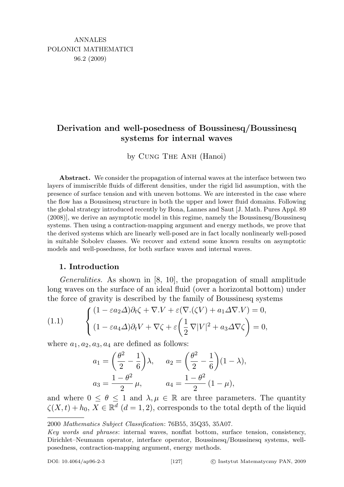## Derivation and well-posedness of Boussinesq/Boussinesq systems for internal waves

by Cung The Anh (Hanoi)

Abstract. We consider the propagation of internal waves at the interface between two layers of immiscrible fluids of different densities, under the rigid lid assumption, with the presence of surface tension and with uneven bottoms. We are interested in the case where the flow has a Boussinesq structure in both the upper and lower fluid domains. Following the global strategy introduced recently by Bona, Lannes and Saut [J. Math. Pures Appl. 89 (2008)], we derive an asymptotic model in this regime, namely the Boussinesq/Boussinesq systems. Then using a contraction-mapping argument and energy methods, we prove that the derived systems which are linearly well-posed are in fact locally nonlinearly well-posed in suitable Sobolev classes. We recover and extend some known results on asymptotic models and well-posedness, for both surface waves and internal waves.

## 1. Introduction

Generalities. As shown in [8, 10], the propagation of small amplitude long waves on the surface of an ideal fluid (over a horizontal bottom) under the force of gravity is described by the family of Boussinesq systems

(1.1) 
$$
\begin{cases} (1 - \varepsilon a_2 \Delta) \partial_t \zeta + \nabla \cdot V + \varepsilon (\nabla \cdot (\zeta V) + a_1 \Delta \nabla \cdot V) = 0, \\ (1 - \varepsilon a_4 \Delta) \partial_t V + \nabla \zeta + \varepsilon \left( \frac{1}{2} \nabla |V|^2 + a_3 \Delta \nabla \zeta \right) = 0, \end{cases}
$$

where  $a_1, a_2, a_3, a_4$  are defined as follows:

$$
a_1 = \left(\frac{\theta^2}{2} - \frac{1}{6}\right)\lambda, \quad a_2 = \left(\frac{\theta^2}{2} - \frac{1}{6}\right)(1 - \lambda),
$$
  

$$
a_3 = \frac{1 - \theta^2}{2}\mu, \quad a_4 = \frac{1 - \theta^2}{2}(1 - \mu),
$$

and where  $0 \le \theta \le 1$  and  $\lambda, \mu \in \mathbb{R}$  are three parameters. The quantity  $\zeta(X,t) + h_0, X \in \mathbb{R}^d \ (d = 1, 2)$ , corresponds to the total depth of the liquid

<sup>2000</sup> Mathematics Subject Classification: 76B55, 35Q35, 35A07.

Key words and phrases: internal waves, nonflat bottom, surface tension, consistency, Dirichlet–Neumann operator, interface operator, Boussinesq/Boussinesq systems, wellposedness, contraction-mapping argument, energy methods.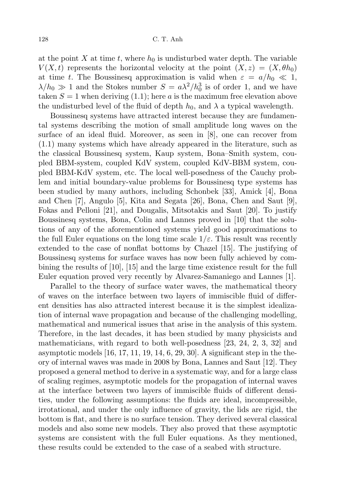at the point X at time t, where  $h_0$  is undisturbed water depth. The variable  $V(X, t)$  represents the horizontal velocity at the point  $(X, z) = (X, \theta h_0)$ at time t. The Boussinesq approximation is valid when  $\varepsilon = a/h_0 \ll 1$ ,  $\lambda/h_0 \gg 1$  and the Stokes number  $S = a\lambda^2/h_0^3$  is of order 1, and we have taken  $S = 1$  when deriving (1.1); here a is the maximum free elevation above the undisturbed level of the fluid of depth  $h_0$ , and  $\lambda$  a typical wavelength.

Boussinesq systems have attracted interest because they are fundamental systems describing the motion of small amplitude long waves on the surface of an ideal fluid. Moreover, as seen in [8], one can recover from (1.1) many systems which have already appeared in the literature, such as the classical Boussinesq system, Kaup system, Bona–Smith system, coupled BBM-system, coupled KdV system, coupled KdV-BBM system, coupled BBM-KdV system, etc. The local well-posedness of the Cauchy problem and initial boundary-value problems for Boussinesq type systems has been studied by many authors, including Schonbek [33], Amick [4], Bona and Chen [7], Angulo [5], Kita and Segata [26], Bona, Chen and Saut [9], Fokas and Pelloni [21], and Dougalis, Mitsotakis and Saut [20]. To justify Boussinesq systems, Bona, Colin and Lannes proved in [10] that the solutions of any of the aforementioned systems yield good approximations to the full Euler equations on the long time scale  $1/\varepsilon$ . This result was recently extended to the case of nonflat bottoms by Chazel [15]. The justifying of Boussinesq systems for surface waves has now been fully achieved by combining the results of [10], [15] and the large time existence result for the full Euler equation proved very recently by Alvarez-Samaniego and Lannes [1].

Parallel to the theory of surface water waves, the mathematical theory of waves on the interface between two layers of immiscible fluid of different densities has also attracted interest because it is the simplest idealization of internal wave propagation and because of the challenging modelling, mathematical and numerical issues that arise in the analysis of this system. Therefore, in the last decades, it has been studied by many physicists and mathematicians, with regard to both well-posedness [23, 24, 2, 3, 32] and asymptotic models  $[16, 17, 11, 19, 14, 6, 29, 30]$ . A significant step in the theory of internal waves was made in 2008 by Bona, Lannes and Saut [12]. They proposed a general method to derive in a systematic way, and for a large class of scaling regimes, asymptotic models for the propagation of internal waves at the interface between two layers of immiscible fluids of different densities, under the following assumptions: the fluids are ideal, incompressible, irrotational, and under the only influence of gravity, the lids are rigid, the bottom is flat, and there is no surface tension. They derived several classical models and also some new models. They also proved that these asymptotic systems are consistent with the full Euler equations. As they mentioned, these results could be extended to the case of a seabed with structure.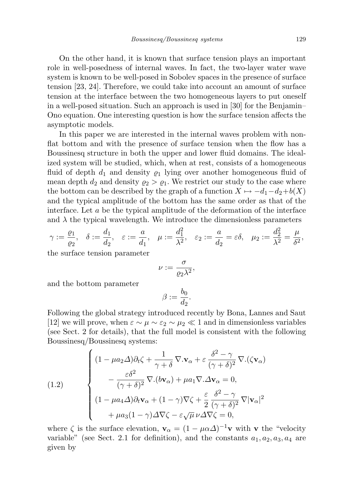On the other hand, it is known that surface tension plays an important role in well-posedness of internal waves. In fact, the two-layer water wave system is known to be well-posed in Sobolev spaces in the presence of surface tension [23, 24]. Therefore, we could take into account an amount of surface tension at the interface between the two homogeneous layers to put oneself in a well-posed situation. Such an approach is used in [30] for the Benjamin– Ono equation. One interesting question is how the surface tension affects the asymptotic models.

In this paper we are interested in the internal waves problem with nonflat bottom and with the presence of surface tension when the flow has a Boussinesq structure in both the upper and lower fluid domains. The idealized system will be studied, which, when at rest, consists of a homogeneous fluid of depth  $d_1$  and density  $\varrho_1$  lying over another homogeneous fluid of mean depth  $d_2$  and density  $\varrho_2 > \varrho_1$ . We restrict our study to the case where the bottom can be described by the graph of a function  $X \mapsto -d_1-d_2+b(X)$ and the typical amplitude of the bottom has the same order as that of the interface. Let a be the typical amplitude of the deformation of the interface and  $\lambda$  the typical wavelength. We introduce the dimensionless parameters

$$
\gamma := \frac{\varrho_1}{\varrho_2}, \quad \delta := \frac{d_1}{d_2}, \quad \varepsilon := \frac{a}{d_1}, \quad \mu := \frac{d_1^2}{\lambda^2}, \quad \varepsilon_2 := \frac{a}{d_2} = \varepsilon \delta, \quad \mu_2 := \frac{d_2^2}{\lambda^2} = \frac{\mu}{\delta^2},
$$

the surface tension parameter

$$
\nu:=\frac{\sigma}{\varrho_2\lambda^2},
$$

and the bottom parameter

$$
\beta := \frac{b_0}{d_2}.
$$

Following the global strategy introduced recently by Bona, Lannes and Saut [12] we will prove, when  $\varepsilon \sim \mu \sim \varepsilon_2 \sim \mu_2 \ll 1$  and in dimensionless variables (see Sect. 2 for details), that the full model is consistent with the following Boussinesq/Boussinesq systems:

(1.2)  

$$
\begin{cases}\n(1 - \mu a_2 \Delta) \partial_t \zeta + \frac{1}{\gamma + \delta} \nabla \cdot \mathbf{v}_{\alpha} + \varepsilon \frac{\delta^2 - \gamma}{(\gamma + \delta)^2} \nabla \cdot (\zeta \mathbf{v}_{\alpha}) \\
- \frac{\varepsilon \delta^2}{(\gamma + \delta)^2} \nabla \cdot (b \mathbf{v}_{\alpha}) + \mu a_1 \nabla \cdot \Delta \mathbf{v}_{\alpha} = 0, \\
(1 - \mu a_4 \Delta) \partial_t \mathbf{v}_{\alpha} + (1 - \gamma) \nabla \zeta + \frac{\varepsilon}{2} \frac{\delta^2 - \gamma}{(\gamma + \delta)^2} \nabla |\mathbf{v}_{\alpha}|^2 \\
+ \mu a_3 (1 - \gamma) \Delta \nabla \zeta - \varepsilon \sqrt{\mu} \nu \Delta \nabla \zeta = 0,\n\end{cases}
$$

where  $\zeta$  is the surface elevation,  $\mathbf{v}_{\alpha} = (1 - \mu \alpha \Delta)^{-1} \mathbf{v}$  with  $\mathbf{v}$  the "velocity variable" (see Sect. 2.1 for definition), and the constants  $a_1, a_2, a_3, a_4$  are given by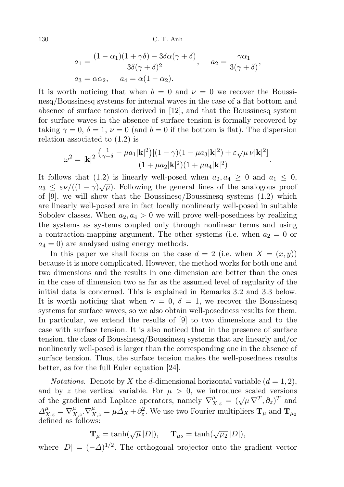130 C. T. Anh

$$
a_1 = \frac{(1 - \alpha_1)(1 + \gamma \delta) - 3\delta\alpha(\gamma + \delta)}{3\delta(\gamma + \delta)^2}, \quad a_2 = \frac{\gamma \alpha_1}{3(\gamma + \delta)},
$$
  

$$
a_3 = \alpha \alpha_2, \quad a_4 = \alpha(1 - \alpha_2).
$$

It is worth noticing that when  $b = 0$  and  $\nu = 0$  we recover the Boussinesq/Boussinesq systems for internal waves in the case of a flat bottom and absence of surface tension derived in [12], and that the Boussinesq system for surface waves in the absence of surface tension is formally recovered by taking  $\gamma = 0$ ,  $\delta = 1$ ,  $\nu = 0$  (and  $b = 0$  if the bottom is flat). The dispersion relation associated to (1.2) is

$$
\omega^{2} = |\mathbf{k}|^{2} \frac{\left(\frac{1}{\gamma+\delta} - \mu a_{1}|\mathbf{k}|^{2}\right)[(1-\gamma)(1-\mu a_{3}|\mathbf{k}|^{2}) + \varepsilon\sqrt{\mu}\nu|\mathbf{k}|^{2}]}{(1+\mu a_{2}|\mathbf{k}|^{2})(1+\mu a_{4}|\mathbf{k}|^{2})}.
$$

It follows that (1.2) is linearly well-posed when  $a_2, a_4 \geq 0$  and  $a_1 \leq 0$ ,  $a_3 \leq \varepsilon \nu/((1-\gamma)\sqrt{\mu})$ . Following the general lines of the analogous proof of  $[9]$ , we will show that the Boussinesq/Boussinesq systems  $(1.2)$  which are linearly well-posed are in fact locally nonlinearly well-posed in suitable Sobolev classes. When  $a_2, a_4 > 0$  we will prove well-posedness by realizing the systems as systems coupled only through nonlinear terms and using a contraction-mapping argument. The other systems (i.e. when  $a_2 = 0$  or  $a_4 = 0$ ) are analysed using energy methods.

In this paper we shall focus on the case  $d = 2$  (i.e. when  $X = (x, y)$ ) because it is more complicated. However, the method works for both one and two dimensions and the results in one dimension are better than the ones in the case of dimension two as far as the assumed level of regularity of the initial data is concerned. This is explained in Remarks 3.2 and 3.3 below. It is worth noticing that when  $\gamma = 0$ ,  $\delta = 1$ , we recover the Boussinesq systems for surface waves, so we also obtain well-posedness results for them. In particular, we extend the results of [9] to two dimensions and to the case with surface tension. It is also noticed that in the presence of surface tension, the class of Boussinesq/Boussinesq systems that are linearly and/or nonlinearly well-posed is larger than the corresponding one in the absence of surface tension. Thus, the surface tension makes the well-posedness results better, as for the full Euler equation [24].

*Notations.* Denote by X the d-dimensional horizontal variable  $(d = 1, 2)$ , and by z the vertical variable. For  $\mu > 0$ , we introduce scaled versions of the gradient and Laplace operators, namely  $\nabla_{X,z}^{\mu} = (\sqrt{\mu} \nabla^{T}, \partial_{z})^{T}$  and  $\Delta_{X,z}^{\mu} = \nabla_{X,z}^{\mu} \cdot \nabla_{X,z}^{\mu} = \mu \Delta_X + \partial_z^2$ . We use two Fourier multipliers  $\mathbf{T}_{\mu}$  and  $\mathbf{T}_{\mu}$ . defined as follows:

$$
\mathbf{T}_{\mu} = \tanh(\sqrt{\mu} |D|), \quad \mathbf{T}_{\mu_2} = \tanh(\sqrt{\mu_2} |D|),
$$

where  $|D| = (-\Delta)^{1/2}$ . The orthogonal projector onto the gradient vector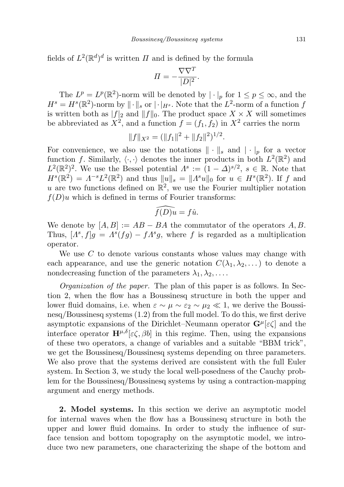fields of  $L^2(\mathbb{R}^d)^d$  is written  $\Pi$  and is defined by the formula

$$
\varPi=-\frac{\nabla\nabla^T}{|D|^2}.
$$

The  $L^p = L^p(\mathbb{R}^2)$ -norm will be denoted by  $|\cdot|_p$  for  $1 \le p \le \infty$ , and the  $H^s = H^s(\mathbb{R}^2)$ -norm by  $\|\cdot\|_s$  or  $|\cdot|_{H^s}$ . Note that the  $L^2$ -norm of a function f is written both as  $|f|_2$  and  $||f||_0$ . The product space  $X \times X$  will sometimes be abbreviated as  $X^2$ , and a function  $f = (f_1, f_2)$  in  $X^2$  carries the norm

$$
||f||_{X^2} = (||f_1||^2 + ||f_2||^2)^{1/2}.
$$

For convenience, we also use the notations  $\|\cdot\|_{s}$  and  $|\cdot|_{p}$  for a vector function f. Similarly,  $\langle \cdot, \cdot \rangle$  denotes the inner products in both  $L^2(\mathbb{R}^2)$  and  $L^2(\mathbb{R}^2)^2$ . We use the Bessel potential  $\Lambda^s := (1 - \Delta)^{s/2}, s \in \mathbb{R}$ . Note that  $H<sup>s</sup>(\mathbb{R}^2) = \Lambda^{-s}L^2(\mathbb{R}^2)$  and thus  $||u||_s = ||\Lambda^s u||_0$  for  $u \in H<sup>s</sup>(\mathbb{R}^2)$ . If f and u are two functions defined on  $\mathbb{R}^2$ , we use the Fourier multiplier notation  $f(D)u$  which is defined in terms of Fourier transforms:

$$
\widehat{f(D)u} = f\hat{u}.
$$

We denote by  $[A, B] := AB - BA$  the commutator of the operators A, B. Thus,  $[A^s, f]g = A^s(fg) - fA^s g$ , where f is regarded as a multiplication operator.

We use  $C$  to denote various constants whose values may change with each appearance, and use the generic notation  $C(\lambda_1, \lambda_2, \dots)$  to denote a nondecreasing function of the parameters  $\lambda_1, \lambda_2, \ldots$ .

Organization of the paper. The plan of this paper is as follows. In Section 2, when the flow has a Boussinesq structure in both the upper and lower fluid domains, i.e. when  $\varepsilon \sim \mu \sim \varepsilon_2 \sim \mu_2 \ll 1$ , we derive the Boussinesq/Boussinesq systems (1.2) from the full model. To do this, we first derive asymptotic expansions of the Dirichlet–Neumann operator  $\mathbf{G}^{\mu}[\varepsilon\zeta]$  and the interface operator  $\mathbf{H}^{\mu,\delta}[\varepsilon\zeta,\beta b]$  in this regime. Then, using the expansions of these two operators, a change of variables and a suitable "BBM trick", we get the Boussinesq/Boussinesq systems depending on three parameters. We also prove that the systems derived are consistent with the full Euler system. In Section 3, we study the local well-posedness of the Cauchy problem for the Boussinesq/Boussinesq systems by using a contraction-mapping argument and energy methods.

2. Model systems. In this section we derive an asymptotic model for internal waves when the flow has a Boussinesq structure in both the upper and lower fluid domains. In order to study the influence of surface tension and bottom topography on the asymptotic model, we introduce two new parameters, one characterizing the shape of the bottom and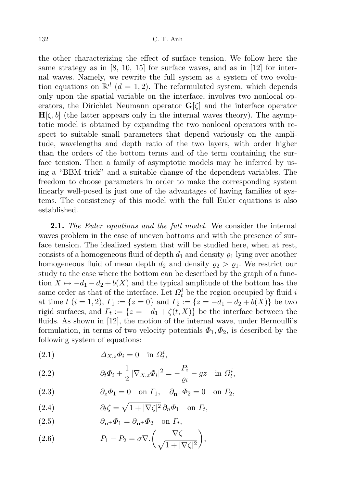the other characterizing the effect of surface tension. We follow here the same strategy as in [8, 10, 15] for surface waves, and as in [12] for internal waves. Namely, we rewrite the full system as a system of two evolution equations on  $\mathbb{R}^d$  (d = 1, 2). The reformulated system, which depends only upon the spatial variable on the interface, involves two nonlocal operators, the Dirichlet–Neumann operator  $\mathbf{G}[\zeta]$  and the interface operator  $H[\zeta, b]$  (the latter appears only in the internal waves theory). The asymptotic model is obtained by expanding the two nonlocal operators with respect to suitable small parameters that depend variously on the amplitude, wavelengths and depth ratio of the two layers, with order higher than the orders of the bottom terms and of the term containing the surface tension. Then a family of asymptotic models may be inferred by using a "BBM trick" and a suitable change of the dependent variables. The freedom to choose parameters in order to make the corresponding system linearly well-posed is just one of the advantages of having families of systems. The consistency of this model with the full Euler equations is also established.

**2.1.** The Euler equations and the full model. We consider the internal waves problem in the case of uneven bottoms and with the presence of surface tension. The idealized system that will be studied here, when at rest, consists of a homogeneous fluid of depth  $d_1$  and density  $\rho_1$  lying over another homogeneous fluid of mean depth  $d_2$  and density  $\rho_2 > \rho_1$ . We restrict our study to the case where the bottom can be described by the graph of a function  $X \mapsto -d_1 - d_2 + b(X)$  and the typical amplitude of the bottom has the same order as that of the interface. Let  $\Omega_t^i$  be the region occupied by fluid  $i$ at time  $t$   $(i = 1, 2), T_1 := \{z = 0\}$  and  $T_2 := \{z = -d_1 - d_2 + b(X)\}\)$  be two rigid surfaces, and  $\Gamma_t := \{z = -d_1 + \zeta(t, X)\}\$ be the interface between the fluids. As shown in [12], the motion of the internal wave, under Bernoulli's formulation, in terms of two velocity potentials  $\Phi_1, \Phi_2$ , is described by the following system of equations:

(2.1) 
$$
\Delta_{X,z}\Phi_i=0 \text{ in } \Omega_t^i,
$$

(2.2) 
$$
\partial_t \Phi_i + \frac{1}{2} |\nabla_{X,z} \Phi_i|^2 = -\frac{P_i}{\varrho_i} - gz \quad \text{in } \Omega_t^i,
$$

(2.3) 
$$
\partial_z \Phi_1 = 0 \quad \text{on } \Gamma_1, \quad \partial_{\mathbf{n}} \Phi_2 = 0 \quad \text{on } \Gamma_2,
$$

(2.4) 
$$
\partial_t \zeta = \sqrt{1 + |\nabla \zeta|^2} \, \partial_n \Phi_1 \quad \text{on } \Gamma_t,
$$

(2.5) 
$$
\partial_{\mathbf{n}^+} \Phi_1 = \partial_{\mathbf{n}^+} \Phi_2 \quad \text{on } \Gamma_t,
$$

(2.6) 
$$
P_1 - P_2 = \sigma \nabla \cdot \left(\frac{\nabla \zeta}{\sqrt{1 + |\nabla \zeta|^2}}\right),
$$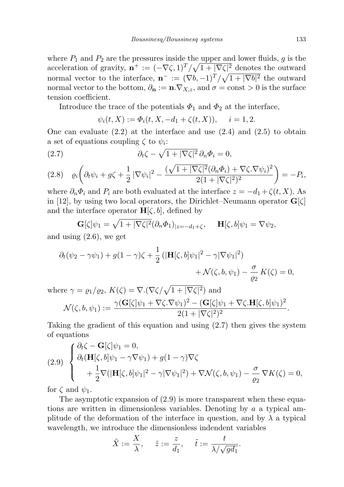where  $P_1$  and  $P_2$  are the pressures inside the upper and lower fluids, q is the acceleration of gravity,  $\mathbf{n}^+ := (-\nabla \zeta, 1)^T / \sqrt{1 + |\nabla \zeta|^2}$  denotes the outward normal vector to the interface,  $\mathbf{n}^- := (\nabla b, -1)^T / \sqrt{1 + |\nabla b|^2}$  the outward normal vector to the bottom,  $\partial_{\mathbf{n}} := \mathbf{n} \cdot \nabla_{X,z}$ , and  $\sigma = \text{const} > 0$  is the surface tension coefficient.

Introduce the trace of the potentials  $\Phi_1$  and  $\Phi_2$  at the interface,

$$
\psi_i(t, X) := \Phi_i(t, X, -d_1 + \zeta(t, X)), \quad i = 1, 2.
$$

One can evaluate  $(2.2)$  at the interface and use  $(2.4)$  and  $(2.5)$  to obtain a set of equations coupling  $\zeta$  to  $\psi_i$ :

(2.7) 
$$
\partial_t \zeta - \sqrt{1+|\nabla \zeta|^2} \, \partial_n \Phi_i = 0,
$$

$$
(2.8) \quad \varrho_i\bigg(\partial_t\psi_i + g\zeta + \frac{1}{2}|\nabla\psi_i|^2 - \frac{(\sqrt{1+|\nabla\zeta|^2}(\partial_n\Phi_i) + \nabla\zeta.\nabla\psi_i)^2}{2(1+|\nabla\zeta|^2)^2}\bigg) = -P_i,
$$

where  $\partial_n \Phi_i$  and  $P_i$  are both evaluated at the interface  $z = -d_1 + \zeta(t, X)$ . As in [12], by using two local operators, the Dirichlet–Neumann operator  $\mathbf{G}[\zeta]$ and the interface operator  $H[\zeta, b]$ , defined by

$$
\mathbf{G}[\zeta]\psi_1 = \sqrt{1+|\nabla\zeta|^2}(\partial_n\Phi_1)_{|z=-d_1+\zeta}, \quad \mathbf{H}[\zeta,b]\psi_1 = \nabla\psi_2,
$$

and using (2.6), we get

$$
\partial_t(\psi_2 - \gamma \psi_1) + g(1 - \gamma)\zeta + \frac{1}{2} \left( |\mathbf{H}[\zeta, b] \psi_1|^2 - \gamma |\nabla \psi_1|^2 \right) + \mathcal{N}(\zeta, b, \psi_1) - \frac{\sigma}{\varrho_2} K(\zeta) = 0,
$$

where  $\gamma = \varrho_1/\varrho_2$ ,  $K(\zeta) = \nabla \cdot (\nabla \zeta/\sqrt{1+|\nabla \zeta|^2})$  and  $\mathcal{N}(\zeta, b, \psi_1) := \frac{\gamma(\mathbf{G}[\zeta]\psi_1 + \nabla \zeta \cdot \nabla \psi_1)^2 - (\mathbf{G}[\zeta]\psi_1 + \nabla \zeta \cdot \mathbf{H}[\zeta, b]\psi_1)^2}{2(1 + |\nabla \zeta|^2)^2}$  $\frac{(3|S| \psi_1 + \sqrt{3} \pi |S| \psi_1)}{2(1+|\nabla \zeta|^2)^2}.$ 

Taking the gradient of this equation and using (2.7) then gives the system of equations

(2.9) 
$$
\begin{cases} \partial_t \zeta - \mathbf{G}[\zeta] \psi_1 = 0, \\ \partial_t (\mathbf{H}[\zeta, b] \psi_1 - \gamma \nabla \psi_1) + g(1 - \gamma) \nabla \zeta \\ + \frac{1}{2} \nabla (|\mathbf{H}[\zeta, b] \psi_1|^2 - \gamma |\nabla \psi_1|^2) + \nabla \mathcal{N}(\zeta, b, \psi_1) - \frac{\sigma}{\varrho_2} \nabla K(\zeta) = 0, \end{cases}
$$

for  $\zeta$  and  $\psi_1$ .

The asymptotic expansion of (2.9) is more transparent when these equations are written in dimensionless variables. Denoting by  $a$  a typical amplitude of the deformation of the interface in question, and by  $\lambda$  a typical wavelength, we introduce the dimensionless indendent variables

$$
\tilde{X} := \frac{X}{\lambda}, \quad \tilde{z} := \frac{z}{d_1}, \quad \tilde{t} := \frac{t}{\lambda/\sqrt{gd_1}}.
$$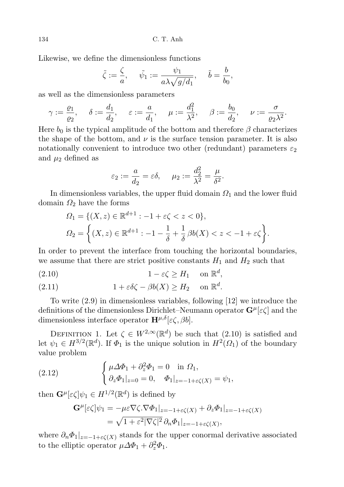Likewise, we define the dimensionless functions

$$
\tilde{\zeta} := \frac{\zeta}{a}, \quad \tilde{\psi}_1 := \frac{\psi_1}{a\lambda \sqrt{g/d_1}}, \quad \tilde{b} = \frac{b}{b_0},
$$

as well as the dimensionless parameters

$$
\gamma:=\frac{\varrho_1}{\varrho_2},\hspace{0.5cm}\delta:=\frac{d_1}{d_2},\hspace{0.5cm}\varepsilon:=\frac{a}{d_1},\hspace{0.5cm}\mu:=\frac{d_1^2}{\lambda^2},\hspace{0.5cm}\beta:=\frac{b_0}{d_2},\hspace{0.5cm}\nu:=\frac{\sigma}{\varrho_2\lambda^2}.
$$

Here  $b_0$  is the typical amplitude of the bottom and therefore  $\beta$  characterizes the shape of the bottom, and  $\nu$  is the surface tension parameter. It is also notationally convenient to introduce two other (redundant) parameters  $\varepsilon_2$ and  $\mu_2$  defined as

$$
\varepsilon_2 := \frac{a}{d_2} = \varepsilon \delta, \quad \mu_2 := \frac{d_2^2}{\lambda^2} = \frac{\mu}{\delta^2}.
$$

In dimensionless variables, the upper fluid domain  $\Omega_1$  and the lower fluid domain  $\Omega_2$  have the forms

$$
\Omega_1 = \{ (X, z) \in \mathbb{R}^{d+1} : -1 + \varepsilon \zeta < z < 0 \},
$$
\n
$$
\Omega_2 = \left\{ (X, z) \in \mathbb{R}^{d+1} : -1 - \frac{1}{\delta} + \frac{1}{\delta} \beta b(X) < z < -1 + \varepsilon \zeta \right\}.
$$

In order to prevent the interface from touching the horizontal boundaries, we assume that there are strict positive constants  $H_1$  and  $H_2$  such that

$$
(2.10) \t\t 1 - \varepsilon \zeta \ge H_1 \t on \mathbb{R}^d,
$$

(2.11) 
$$
1 + \varepsilon \delta \zeta - \beta b(X) \ge H_2 \quad \text{on } \mathbb{R}^d.
$$

To write (2.9) in dimensionless variables, following [12] we introduce the definitions of the dimensionless Dirichlet–Neumann operator  $\mathbf{G}^{\mu}[\varepsilon\zeta]$  and the dimensionless interface operator  $\mathbf{H}^{\mu,\delta}[\varepsilon\zeta,\beta b].$ 

DEFINITION 1. Let  $\zeta \in W^{2,\infty}(\mathbb{R}^d)$  be such that  $(2.10)$  is satisfied and let  $\psi_1 \in H^{3/2}(\mathbb{R}^d)$ . If  $\Phi_1$  is the unique solution in  $H^2(\Omega_1)$  of the boundary value problem

(2.12) 
$$
\begin{cases} \mu \Delta \Phi_1 + \partial_z^2 \Phi_1 = 0 & \text{in } \Omega_1, \\ \partial_z \Phi_1|_{z=0} = 0, \quad \Phi_1|_{z=-1+\epsilon\zeta(X)} = \psi_1, \end{cases}
$$

then  $\mathbf{G}^{\mu}[\varepsilon \zeta]\psi_1 \in H^{1/2}(\mathbb{R}^d)$  is defined by

$$
\mathbf{G}^{\mu}[\varepsilon\zeta]\psi_1 = -\mu\varepsilon\nabla\zeta.\nabla\Phi_1|_{z=-1+\varepsilon\zeta(X)} + \partial_z\Phi_1|_{z=-1+\varepsilon\zeta(X)}
$$
  
=  $\sqrt{1+\varepsilon^2|\nabla\zeta|^2}\partial_n\Phi_1|_{z=-1+\varepsilon\zeta(X)},$ 

where  $\partial_n \Phi_1|_{z=-1+\epsilon\zeta(X)}$  stands for the upper conormal derivative associated to the elliptic operator  $\mu \Delta \Phi_1 + \partial_z^2 \Phi_1$ .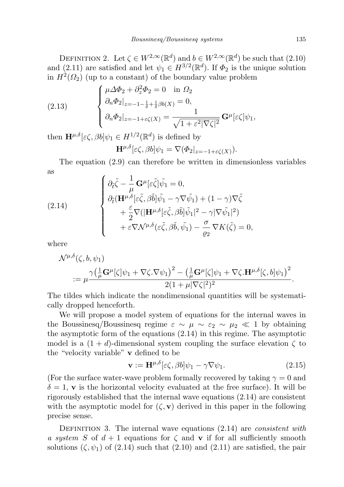DEFINITION 2. Let  $\zeta \in W^{2,\infty}(\mathbb{R}^d)$  and  $b \in W^{2,\infty}(\mathbb{R}^d)$  be such that  $(2.10)$ and (2.11) are satisfied and let  $\psi_1 \in H^{3/2}(\mathbb{R}^d)$ . If  $\Phi_2$  is the unique solution in  $H^2(\Omega_2)$  (up to a constant) of the boundary value problem

(2.13) 
$$
\begin{cases} \mu \Delta \Phi_2 + \partial_z^2 \Phi_2 = 0 & \text{in } \Omega_2 \\ \partial_n \Phi_2|_{z=-1-\frac{1}{\delta}+\frac{1}{\delta}\beta b(X)} = 0, \\ \partial_n \Phi_2|_{z=-1+\varepsilon \zeta(X)} = \frac{1}{\sqrt{1+\varepsilon^2 |\nabla \zeta|^2}} \mathbf{G}^\mu[\varepsilon \zeta] \psi_1, \end{cases}
$$

then  $\mathbf{H}^{\mu,\delta}[\varepsilon\zeta,\beta b]\psi_1 \in H^{1/2}(\mathbb{R}^d)$  is defined by

$$
\mathbf{H}^{\mu,\delta}[\varepsilon\zeta,\beta b]\psi_1 = \nabla(\Phi_2|_{z=-1+\varepsilon\zeta(X)}).
$$

The equation (2.9) can therefore be written in dimensionless variables as 1

(2.14) 
$$
\begin{cases} \partial_{\tilde{t}} \tilde{\zeta} - \frac{1}{\mu} \mathbf{G}^{\mu} [\varepsilon \tilde{\zeta}] \tilde{\psi}_{1} = 0, \\ \partial_{\tilde{t}} (\mathbf{H}^{\mu, \delta} [\varepsilon \tilde{\zeta}, \beta \tilde{b}] \tilde{\psi}_{1} - \gamma \nabla \tilde{\psi}_{1}) + (1 - \gamma) \nabla \tilde{\zeta} \\ + \frac{\varepsilon}{2} \nabla (|\mathbf{H}^{\mu, \delta} [\varepsilon \tilde{\zeta}, \beta \tilde{b}] \tilde{\psi}_{1}|^{2} - \gamma |\nabla \tilde{\psi}_{1}|^{2}) \\ + \varepsilon \nabla \mathcal{N}^{\mu, \delta} (\varepsilon \tilde{\zeta}, \beta \tilde{b}, \tilde{\psi}_{1}) - \frac{\sigma}{\varrho_{2}} \nabla K(\tilde{\zeta}) = 0, \end{cases}
$$

where

$$
\mathcal{N}^{\mu,\delta}(\zeta,b,\psi_1) = \mu \frac{\gamma(\frac{1}{\mu}\mathbf{G}^{\mu}[\zeta]\psi_1 + \nabla\zeta.\nabla\psi_1)^2 - (\frac{1}{\mu}\mathbf{G}^{\mu}[\zeta]\psi_1 + \nabla\zeta.\mathbf{H}^{\mu,\delta}[\zeta,b]\psi_1)^2}{2(1+\mu|\nabla\zeta|^2)^2}.
$$

The tildes which indicate the nondimensional quantities will be systematically dropped henceforth.

We will propose a model system of equations for the internal waves in the Boussinesq/Boussinesq regime  $\varepsilon \sim \mu \sim \varepsilon_2 \sim \mu_2 \ll 1$  by obtaining the asymptotic form of the equations (2.14) in this regime. The asymptotic model is a  $(1 + d)$ -dimensional system coupling the surface elevation  $\zeta$  to the "velocity variable" v defined to be

$$
\mathbf{v} := \mathbf{H}^{\mu,\delta}[\varepsilon\zeta,\beta b]\psi_1 - \gamma \nabla \psi_1.
$$
 (2.15)

(For the surface water-wave problem formally recovered by taking  $\gamma = 0$  and  $\delta = 1$ , v is the horizontal velocity evaluated at the free surface). It will be rigorously established that the internal wave equations (2.14) are consistent with the asymptotic model for  $(\zeta, \mathbf{v})$  derived in this paper in the following precise sense.

DEFINITION 3. The internal wave equations  $(2.14)$  are *consistent with* a system S of  $d+1$  equations for  $\zeta$  and  $\bf{v}$  if for all sufficiently smooth solutions  $(\zeta, \psi_1)$  of  $(2.14)$  such that  $(2.10)$  and  $(2.11)$  are satisfied, the pair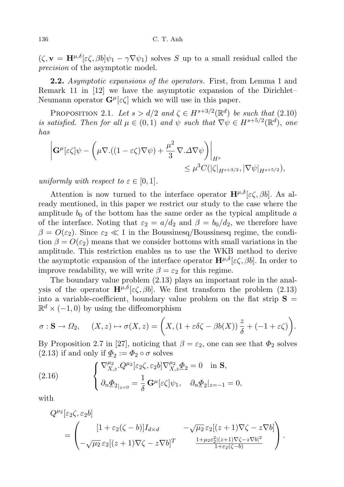$(\zeta, \mathbf{v} = \mathbf{H}^{\mu, \delta}[\varepsilon \zeta, \beta b] \psi_1 - \gamma \nabla \psi_1)$  solves S up to a small residual called the precision of the asymptotic model.

2.2. Asymptotic expansions of the operators. First, from Lemma 1 and Remark 11 in [12] we have the asymptotic expansion of the Dirichlet– Neumann operator  $\mathbf{G}^{\mu}[\varepsilon \zeta]$  which we will use in this paper.

PROPOSITION 2.1. Let  $s > d/2$  and  $\zeta \in H^{s+3/2}(\mathbb{R}^d)$  be such that  $(2.10)$ is satisfied. Then for all  $\mu \in (0,1)$  and  $\psi$  such that  $\nabla \psi \in H^{s+5/2}(\mathbb{R}^d)$ , one has

$$
\left| \mathbf{G}^{\mu}[\varepsilon \zeta] \psi - \left( \mu \nabla \left( (1 - \varepsilon \zeta) \nabla \psi \right) + \frac{\mu^2}{3} \nabla \Delta \nabla \psi \right) \right|_{H^s} \leq \mu^3 C(|\zeta|_{H^{s+3/2}}, |\nabla \psi|_{H^{s+5/2}}),
$$

uniformly with respect to  $\varepsilon \in [0,1]$ .

Attention is now turned to the interface operator  $\mathbf{H}^{\mu,\delta}[\varepsilon \zeta, \beta b]$ . As already mentioned, in this paper we restrict our study to the case where the amplitude  $b_0$  of the bottom has the same order as the typical amplitude  $a$ of the interface. Noting that  $\varepsilon_2 = a/d_2$  and  $\beta = b_0/d_2$ , we therefore have  $\beta = O(\varepsilon_2)$ . Since  $\varepsilon_2 \ll 1$  in the Boussinesq/Boussinesq regime, the condition  $\beta = O(\varepsilon_2)$  means that we consider bottoms with small variations in the amplitude. This restriction enables us to use the WKB method to derive the asymptotic expansion of the interface operator  $\mathbf{H}^{\mu,\delta}[\varepsilon\zeta,\beta b]$ . In order to improve readability, we will write  $\beta = \varepsilon_2$  for this regime.

The boundary value problem (2.13) plays an important role in the analysis of the operator  $\mathbf{H}^{\mu,\delta}[\varepsilon\zeta,\beta b]$ . We first transform the problem (2.13) into a variable-coefficient, boundary value problem on the flat strip  $S =$  $\mathbb{R}^d \times (-1,0)$  by using the diffeomorphism

$$
\sigma: \mathbf{S} \to \Omega_2, \quad (X, z) \mapsto \sigma(X, z) = \left(X, (1 + \varepsilon \delta \zeta - \beta b(X)) \frac{z}{\delta} + (-1 + \varepsilon \zeta)\right).
$$

By Proposition 2.7 in [27], noticing that  $\beta = \varepsilon_2$ , one can see that  $\Phi_2$  solves (2.13) if and only if  $\underline{\Phi}_2 := \Phi_2 \circ \sigma$  solves

(2.16) 
$$
\begin{cases} \nabla_{X,z}^{\mu_2} . Q^{\mu_2} [\varepsilon_2 \zeta, \varepsilon_2 b] \nabla_{X,z}^{\mu_2} \Phi_2 = 0 \quad \text{in } \mathbf{S}, \\ \partial_n \Phi_{2|z=0} = \frac{1}{\delta} \mathbf{G}^{\mu} [\varepsilon \zeta] \psi_1, \quad \partial_n \Phi_2 |_{z=-1} = 0, \end{cases}
$$

with

$$
Q^{\mu_2}[\varepsilon_2\zeta, \varepsilon_2 b] = \begin{pmatrix} [1+\varepsilon_2(\zeta-b)]I_{d\times d} & -\sqrt{\mu_2}\,\varepsilon_2[(z+1)\nabla\zeta-z\nabla b] \\ -\sqrt{\mu_2}\,\varepsilon_2[(z+1)\nabla\zeta-z\nabla b]^T & \frac{1+\mu_2\varepsilon_2^2[(z+1)\nabla\zeta-z\nabla b]^2}{1+\varepsilon_2(\zeta-b)} \end{pmatrix}.
$$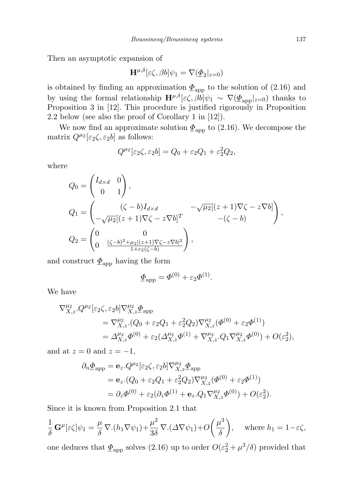Then an asymptotic expansion of

$$
\mathbf{H}^{\mu,\delta}[\varepsilon\zeta,\beta b]\psi_1 = \nabla(\underline{\Phi}_2|_{z=0})
$$

is obtained by finding an approximation  $\underline{\Phi}_{\text{app}}$  to the solution of (2.16) and by using the formal relationship  $\mathbf{H}^{\mu,\delta}[\varepsilon\zeta,\dot{\beta}b]\psi_1 \sim \nabla(\underline{\Phi}_{\text{app}}|_{z=0})$  thanks to Proposition 3 in [12]. This procedure is justified rigorously in Proposition 2.2 below (see also the proof of Corollary 1 in [12]).

We now find an approximate solution  $\underline{\Phi}_{app}$  to (2.16). We decompose the matrix  $Q^{\mu_2}[\varepsilon_2 \zeta, \varepsilon_2 b]$  as follows:

$$
Q^{\mu_2}[\varepsilon_2\zeta, \varepsilon_2 b] = Q_0 + \varepsilon_2 Q_1 + \varepsilon_2^2 Q_2,
$$

where

$$
Q_0 = \begin{pmatrix} I_{d \times d} & 0 \\ 0 & 1 \end{pmatrix},
$$
  
\n
$$
Q_1 = \begin{pmatrix} (\zeta - b)I_{d \times d} & -\sqrt{\mu_2}[(z+1)\nabla \zeta - z\nabla b] \\ -\sqrt{\mu_2}[(z+1)\nabla \zeta - z\nabla b]^T & -(\zeta - b) \end{pmatrix},
$$
  
\n
$$
Q_2 = \begin{pmatrix} 0 & 0 \\ 0 & \frac{(\zeta - b)^2 + \mu_2[(z+1)\nabla \zeta - z\nabla b]^2}{1 + \varepsilon_2(\zeta - b)} \end{pmatrix},
$$

and construct  $\underline{\Phi}_{\text{app}}$  having the form

$$
\underline{\Phi}_{\rm app} = \Phi^{(0)} + \varepsilon_2 \Phi^{(1)}.
$$

We have

$$
\nabla_{X,z}^{\mu_2} \cdot Q^{\mu_2} [\varepsilon_2 \zeta, \varepsilon_2 b] \nabla_{X,z}^{\mu_2} \Phi_{\text{app}} \n= \nabla_{X,z}^{\mu_2} \cdot (Q_0 + \varepsilon_2 Q_1 + \varepsilon_2^2 Q_2) \nabla_{X,z}^{\mu_2} (\Phi^{(0)} + \varepsilon_2 \Phi^{(1)}) \n= \Delta_{X,z}^{\mu_2} \Phi^{(0)} + \varepsilon_2 (\Delta_{X,z}^{\mu_2} \Phi^{(1)} + \nabla_{X,z}^{\mu_2} \cdot Q_1 \nabla_{X,z}^{\mu_2} \Phi^{(0)}) + O(\varepsilon_2^2),
$$

and at  $z = 0$  and  $z = -1$ ,

$$
\partial_n \underline{\Phi}_{\text{app}} = \mathbf{e}_z . Q^{\mu_2} [\varepsilon_2 \zeta, \varepsilon_2 b] \nabla_{X,z}^{\mu_2} \underline{\Phi}_{\text{app}}
$$
  
=  $\mathbf{e}_z . (Q_0 + \varepsilon_2 Q_1 + \varepsilon_2^2 Q_2) \nabla_{X,z}^{\mu_2} (\Phi^{(0)} + \varepsilon_2 \Phi^{(1)})$   
=  $\partial_z \Phi^{(0)} + \varepsilon_2 (\partial_z \Phi^{(1)} + \mathbf{e}_z . Q_1 \nabla_{X,z}^{\mu_2} \Phi^{(0)}) + O(\varepsilon_2^2).$ 

Since it is known from Proposition 2.1 that

$$
\frac{1}{\delta} \mathbf{G}^{\mu}[\varepsilon \zeta] \psi_1 = \frac{\mu}{\delta} \nabla.(h_1 \nabla \psi_1) + \frac{\mu^2}{3\delta} \nabla.( \Delta \nabla \psi_1) + O\left(\frac{\mu^3}{\delta}\right), \quad \text{where } h_1 = 1 - \varepsilon \zeta,
$$

one deduces that  $\underline{\Phi}_{\text{app}}$  solves (2.16) up to order  $O(\varepsilon_2^2 + \mu^3/\delta)$  provided that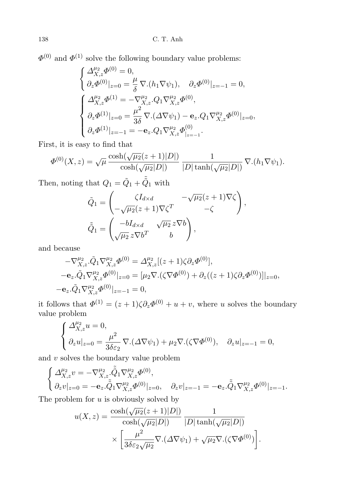$\Phi^{(0)}$  and  $\Phi^{(1)}$  solve the following boundary value problems:

$$
\label{eq:2.1} \left\{ \begin{aligned} &\Delta_{X,z}^{\mu_2}\varPhi^{(0)}=0,\\ &\partial_z\varPhi^{(0)}|_{z=0}=\frac{\mu}{\delta}\,\nabla.(h_1\nabla\psi_1),\quad \partial_z\varPhi^{(0)}|_{z=-1}=0,\\ &\left\{ \begin{aligned} &\Delta_{X,z}^{\mu_2}\varPhi^{(1)}=-\nabla_{X,z}^{\mu_2}.Q_1\nabla_{X,z}^{\mu_2}\varPhi^{(0)},\\ &\partial_z\varPhi^{(1)}|_{z=0}=\frac{\mu^2}{3\delta}\,\nabla.(\varDelta\nabla\psi_1)-\mathbf{e}_z.Q_1\nabla_{X,z}^{\mu_2}\varPhi^{(0)}|_{z=0},\\ &\partial_z\varPhi^{(1)}|_{z=-1}=-\mathbf{e}_z.Q_1\nabla_{X,z}^{\mu_2}\varPhi^{(0)}_{|_{z=-1}}. \end{aligned} \right.
$$

First, it is easy to find that

$$
\Phi^{(0)}(X,z) = \sqrt{\mu} \frac{\cosh(\sqrt{\mu_2}(z+1)|D|)}{\cosh(\sqrt{\mu_2}|D|)} \frac{1}{|D|\tanh(\sqrt{\mu_2}|D|)} \nabla.(h_1 \nabla \psi_1).
$$

Then, noting that  $Q_1 = \tilde{Q}_1 + \tilde{\tilde{Q}}_1$  with

$$
\tilde{Q}_1 = \begin{pmatrix}\n\zeta I_{d \times d} & -\sqrt{\mu_2}(z+1)\nabla\zeta \\
-\sqrt{\mu_2}(z+1)\nabla\zeta^T & -\zeta\n\end{pmatrix},
$$
\n
$$
\tilde{Q}_1 = \begin{pmatrix}\n-bI_{d \times d} & \sqrt{\mu_2} z \nabla b \\
\sqrt{\mu_2} z \nabla b^T & b\n\end{pmatrix},
$$

and because

$$
\begin{aligned}\n-\nabla_{X,z}^{\mu_2} \cdot \tilde{Q}_1 \nabla_{X,z}^{\mu_2} \Phi^{(0)} &= \Delta_{X,z}^{\mu_2} [(z+1)\zeta \partial_z \Phi^{(0)}], \\
-\mathbf{e}_z \cdot \tilde{Q}_1 \nabla_{X,z}^{\mu_2} \Phi^{(0)}|_{z=0} &= [\mu_2 \nabla \cdot (\zeta \nabla \Phi^{(0)}) + \partial_z ((z+1)\zeta \partial_z \Phi^{(0)})]|_{z=0}, \\
-\mathbf{e}_z \cdot \tilde{Q}_1 \nabla_{X,z}^{\mu_2} \Phi^{(0)}|_{z=-1} &= 0,\n\end{aligned}
$$

it follows that  $\Phi^{(1)} = (z+1)\zeta \partial_z \Phi^{(0)} + u + v$ , where u solves the boundary value problem

$$
\label{eq:2.1} \left\{ \begin{aligned} \Delta_{X,z}^{\mu_2}u&=0,\\ \partial_z u|_{z=0} &= \frac{\mu^2}{3\delta\varepsilon_2}\,\nabla.(\varDelta\nabla\psi_1) + \mu_2\nabla.(\zeta\nabla\varPhi^{(0)}), \quad \partial_z u|_{z=-1}=0, \end{aligned} \right.
$$

and  $v$  solves the boundary value problem

$$
\label{eq:2.1} \left\{ \begin{aligned} \Delta_{X,z}^{\mu_2}v &= -\nabla_{X,z}^{\mu_2}.\tilde{\tilde{Q}}_1\nabla_{X,z}^{\mu_2}\varPhi^{(0)},\\ \partial_z v|_{z=0} &= -\mathbf{e}_z.\tilde{\tilde{Q}}_1\nabla_{X,z}^{\mu_2}\varPhi^{(0)}|_{z=0}, \quad \partial_z v|_{z=-1} = -\mathbf{e}_z.\tilde{\tilde{Q}}_1\nabla_{X,z}^{\mu_2}\varPhi^{(0)}|_{z=-1}. \end{aligned} \right.
$$

The problem for  $u$  is obviously solved by

$$
u(X,z) = \frac{\cosh(\sqrt{\mu_2}(z+1)|D|)}{\cosh(\sqrt{\mu_2}|D|)} \frac{1}{|D|\tanh(\sqrt{\mu_2}|D|)}
$$

$$
\times \left[ \frac{\mu^2}{3\delta\varepsilon_2\sqrt{\mu_2}} \nabla \cdot (\Delta \nabla \psi_1) + \sqrt{\mu_2} \nabla \cdot (\zeta \nabla \Phi^{(0)}) \right].
$$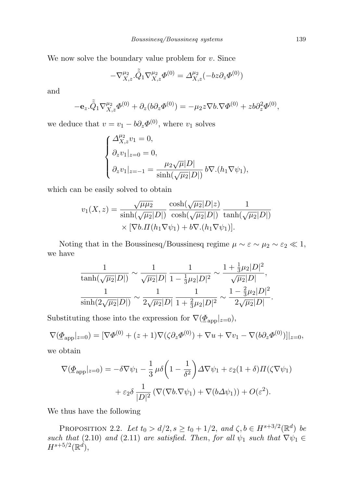We now solve the boundary value problem for  $v$ . Since

$$
-\nabla_{X,z}^{\mu_2} \tilde{\hat{Q}}_1 \nabla_{X,z}^{\mu_2} \Phi^{(0)} = \Delta_{X,z}^{\mu_2} (-bz \partial_z \Phi^{(0)})
$$

and

$$
-\mathbf{e}_z.\tilde{\tilde{Q}}_1\nabla_{X,z}^{\mu_2}\varPhi^{(0)} + \partial_z(b\partial_z\varPhi^{(0)}) = -\mu_2z\nabla b.\nabla\varPhi^{(0)} + zb\partial_z^2\varPhi^{(0)},
$$

we deduce that  $v = v_1 - b \partial_z \Phi^{(0)}$ , where  $v_1$  solves

$$
\begin{cases}\n\Delta_{X,z}^{\mu_2}v_1 = 0, \\
\partial_z v_1|_{z=0} = 0, \\
\partial_z v_1|_{z=-1} = \frac{\mu_2 \sqrt{\mu} |D|}{\sinh(\sqrt{\mu_2}|D|)} b \nabla.(h_1 \nabla \psi_1),\n\end{cases}
$$

which can be easily solved to obtain

$$
v_1(X, z) = \frac{\sqrt{\mu \mu_2}}{\sinh(\sqrt{\mu_2}|D|)} \frac{\cosh(\sqrt{\mu_2}|D|z)}{\cosh(\sqrt{\mu_2}|D|)} \frac{1}{\tanh(\sqrt{\mu_2}|D|)}
$$

$$
\times [\nabla b. \Pi(h_1 \nabla \psi_1) + b \nabla.(h_1 \nabla \psi_1)].
$$

Noting that in the Boussinesq/Boussinesq regime  $\mu \sim \varepsilon \sim \mu_2 \sim \varepsilon_2 \ll 1$ , we have

$$
\frac{1}{\tanh(\sqrt{\mu_2}|D|)} \sim \frac{1}{\sqrt{\mu_2}|D|} \frac{1}{1 - \frac{1}{3}\mu_2|D|^2} \sim \frac{1 + \frac{1}{3}\mu_2|D|^2}{\sqrt{\mu_2}|D|},
$$
  

$$
\frac{1}{\sinh(2\sqrt{\mu_2}|D|)} \sim \frac{1}{2\sqrt{\mu_2}|D|} \frac{1}{1 + \frac{2}{3}\mu_2|D|^2} \sim \frac{1 - \frac{2}{3}\mu_2|D|^2}{2\sqrt{\mu_2}|D|}.
$$

Substituting those into the expression for  $\nabla(\underline{\Phi}_{app}|_{z=0}),$ 

$$
\nabla(\underline{\Phi}_{\text{app}}|_{z=0}) = [\nabla \Phi^{(0)} + (z+1)\nabla (\zeta \partial_z \Phi^{(0)}) + \nabla u + \nabla v_1 - \nabla (b \partial_z \Phi^{(0)})]|_{z=0},
$$

we obtain

$$
\nabla(\underline{\Phi}_{app}|_{z=0}) = -\delta \nabla \psi_1 - \frac{1}{3} \mu \delta \left( 1 - \frac{1}{\delta^2} \right) \Delta \nabla \psi_1 + \varepsilon_2 (1 + \delta) \Pi (\zeta \nabla \psi_1)
$$

$$
+ \varepsilon_2 \delta \frac{1}{|D|^2} \left( \nabla (\nabla b \cdot \nabla \psi_1) + \nabla (b \Delta \psi_1) \right) + O(\varepsilon^2).
$$

We thus have the following

PROPOSITION 2.2. Let  $t_0 > d/2$ ,  $s \ge t_0 + 1/2$ , and  $\zeta, b \in H^{s+3/2}(\mathbb{R}^d)$  be such that (2.10) and (2.11) are satisfied. Then, for all  $\psi_1$  such that  $\nabla \psi_1 \in$  $H^{s+5/2}(\mathbb{R}^d)$ ,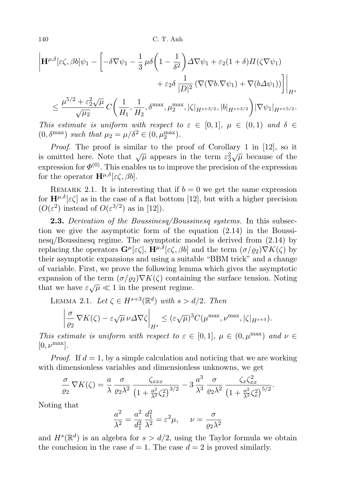140 C. T. Anh

$$
\left| \mathbf{H}^{\mu,\delta}[\varepsilon \zeta, \beta b] \psi_1 - \left[ -\delta \nabla \psi_1 - \frac{1}{3} \mu \delta \left( 1 - \frac{1}{\delta^2} \right) \Delta \nabla \psi_1 + \varepsilon_2 (1 + \delta) \Pi (\zeta \nabla \psi_1) \right. \\ \left. + \varepsilon_2 \delta \frac{1}{|D|^2} \left( \nabla (\nabla b \cdot \nabla \psi_1) + \nabla (b \Delta \psi_1) \right) \right] \right|_{H^s} \\ \leq \frac{\mu^{5/2} + \varepsilon_2^2 \sqrt{\mu}}{\sqrt{\mu_2}} \, C \left( \frac{1}{H_1}, \frac{1}{H_2}, \delta^{\max}, \mu_2^{\max}, |\zeta|_{H^{s+3/2}}, |b|_{H^{s+3/2}} \right) |\nabla \psi_1|_{H^{s+5/2}}.
$$

This estimate is uniform with respect to  $\varepsilon \in [0,1]$ ,  $\mu \in (0,1)$  and  $\delta \in$  $(0, \delta^{\max})$  such that  $\mu_2 = \mu/\delta^2 \in (0, \mu_2^{\max})$ .

Proof. The proof is similar to the proof of Corollary 1 in [12], so it is omitted here. Note that  $\sqrt{\mu}$  appears in the term  $\varepsilon_2^2 \sqrt{\mu}$  because of the expression for  $\Phi^{(0)}$ . This enables us to improve the precision of the expression for the operator  $\mathbf{H}^{\mu,\delta}[\varepsilon\zeta,\beta b].$ 

REMARK 2.1. It is interesting that if  $b = 0$  we get the same expression for  $\mathbf{H}^{\mu,\delta}[\varepsilon\zeta]$  as in the case of a flat bottom [12], but with a higher precision  $(O(\varepsilon^2)$  instead of  $O(\varepsilon^{3/2})$  as in [12]).

**2.3.** Derivation of the Boussinesq/Boussinesq systems. In this subsection we give the asymptotic form of the equation (2.14) in the Boussinesq/Boussinesq regime. The asymptotic model is derived from (2.14) by replacing the operators  $\mathbf{G}^{\mu}[\varepsilon\zeta], \, \mathbf{H}^{\mu,\delta}[\varepsilon\zeta,\beta b]$  and the term  $(\sigma/\varrho_2)\nabla K(\zeta)$  by their asymptotic expansions and using a suitable "BBM trick" and a change of variable. First, we prove the following lemma which gives the asymptotic expansion of the term  $(\sigma/\rho_2)\nabla K(\zeta)$  containing the surface tension. Noting that we have  $\varepsilon \sqrt{\mu} \ll 1$  in the present regime.

LEMMA 2.1. Let  $\zeta \in H^{s+3}(\mathbb{R}^d)$  with  $s > d/2$ . Then

$$
\left| \frac{\sigma}{\varrho_2} \nabla K(\zeta) - \varepsilon \sqrt{\mu} \nu \Delta \nabla \zeta \right|_{H^s} \le (\varepsilon \sqrt{\mu})^3 C(\mu^{\max}, \nu^{\max}, |\zeta|_{H^{s+3}}).
$$

This estimate is uniform with respect to  $\varepsilon \in [0,1]$ ,  $\mu \in (0, \mu^{\max})$  and  $\nu \in$  $[0, \nu^{\max}].$ 

*Proof.* If  $d = 1$ , by a simple calculation and noticing that we are working with dimensionless variables and dimensionless unknowns, we get

$$
\frac{\sigma}{\varrho_2} \nabla K(\zeta) = \frac{a}{\lambda} \frac{\sigma}{\varrho_2 \lambda^2} \frac{\zeta_{xxx}}{\left(1 + \frac{a^2}{\lambda^2} \zeta_x^2\right)^{3/2}} - 3 \frac{a^3}{\lambda^3} \frac{\sigma}{\varrho_2 \lambda^2} \frac{\zeta_x \zeta_{xx}^2}{\left(1 + \frac{a^2}{\lambda^2} \zeta_x^2\right)^{5/2}}.
$$

Noting that

$$
\frac{a^2}{\lambda^2} = \frac{a^2}{d_1^2} \frac{d_1^2}{\lambda^2} = \varepsilon^2 \mu, \quad \nu = \frac{\sigma}{\varrho_2 \lambda^2}
$$

and  $H^s(\mathbb{R}^d)$  is an algebra for  $s > d/2$ , using the Taylor formula we obtain the conclusion in the case  $d = 1$ . The case  $d = 2$  is proved similarly.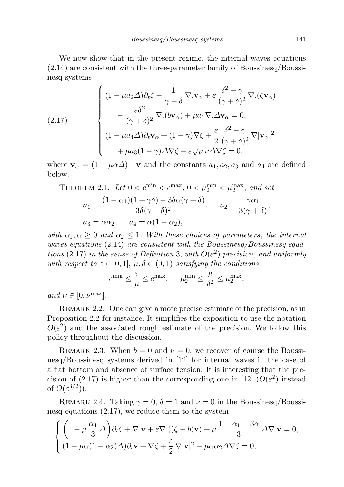We now show that in the present regime, the internal waves equations (2.14) are consistent with the three-parameter family of Boussinesq/Boussinesq systems

(2.17)  

$$
\begin{cases}\n(1 - \mu a_2 \Delta) \partial_t \zeta + \frac{1}{\gamma + \delta} \nabla \cdot \mathbf{v}_{\alpha} + \varepsilon \frac{\delta^2 - \gamma}{(\gamma + \delta)^2} \nabla \cdot (\zeta \mathbf{v}_{\alpha}) \\
- \frac{\varepsilon \delta^2}{(\gamma + \delta)^2} \nabla \cdot (b \mathbf{v}_{\alpha}) + \mu a_1 \nabla \cdot \Delta \mathbf{v}_{\alpha} = 0, \\
(1 - \mu a_4 \Delta) \partial_t \mathbf{v}_{\alpha} + (1 - \gamma) \nabla \zeta + \frac{\varepsilon}{2} \frac{\delta^2 - \gamma}{(\gamma + \delta)^2} \nabla |\mathbf{v}_{\alpha}|^2 \\
+ \mu a_3 (1 - \gamma) \Delta \nabla \zeta - \varepsilon \sqrt{\mu} \nu \Delta \nabla \zeta = 0,\n\end{cases}
$$

where  $\mathbf{v}_{\alpha} = (1 - \mu \alpha \Delta)^{-1} \mathbf{v}$  and the constants  $a_1, a_2, a_3$  and  $a_4$  are defined below.

THEOREM 2.1. Let 
$$
0 < c^{\min} < c^{\max}
$$
,  $0 < \mu_2^{\min} < \mu_2^{\max}$ , and set  
\n
$$
a_1 = \frac{(1 - \alpha_1)(1 + \gamma \delta) - 3\delta \alpha (\gamma + \delta)}{3\delta(\gamma + \delta)^2}, \quad a_2 = \frac{\gamma \alpha_1}{3(\gamma + \delta)},
$$
\n
$$
a_3 = \alpha \alpha_2, \quad a_4 = \alpha (1 - \alpha_2),
$$

with  $\alpha_1, \alpha \geq 0$  and  $\alpha_2 \leq 1$ . With these choices of parameters, the internal waves equations (2.14) are consistent with the Boussinesq/Boussinesq equations (2.17) in the sense of Definition 3, with  $O(\varepsilon^2)$  precision, and uniformly with respect to  $\varepsilon \in [0,1]$ ,  $\mu, \delta \in (0,1)$  satisfying the conditions

$$
c^{\min}\leq \frac{\varepsilon}{\mu}\leq c^{\max}, ~~ \mu^{\min}_2\leq \frac{\mu}{\delta^2}\leq \mu^{\max}_2,
$$

and  $\nu \in [0, \nu^{\max}]$ .

Remark 2.2. One can give a more precise estimate of the precision, as in Proposition 2.2 for instance. It simplifies the exposition to use the notation  $O(\varepsilon^2)$  and the associated rough estimate of the precision. We follow this policy throughout the discussion.

REMARK 2.3. When  $b = 0$  and  $\nu = 0$ , we recover of course the Boussinesq/Boussinesq systems derived in [12] for internal waves in the case of a flat bottom and absence of surface tension. It is interesting that the precision of (2.17) is higher than the corresponding one in [12]  $(O(\varepsilon^2)$  instead of  $O(\varepsilon^{3/2})$ ).

REMARK 2.4. Taking  $\gamma = 0$ ,  $\delta = 1$  and  $\nu = 0$  in the Boussinesq/Boussinesq equations (2.17), we reduce them to the system

$$
\begin{cases} \left(1 - \mu \frac{\alpha_1}{3} \Delta\right) \partial_t \zeta + \nabla \cdot \mathbf{v} + \varepsilon \nabla \cdot ((\zeta - b)\mathbf{v}) + \mu \frac{1 - \alpha_1 - 3\alpha}{3} \Delta \nabla \cdot \mathbf{v} = 0, \\ (1 - \mu \alpha (1 - \alpha_2) \Delta) \partial_t \mathbf{v} + \nabla \zeta + \frac{\varepsilon}{2} \nabla |\mathbf{v}|^2 + \mu \alpha \alpha_2 \Delta \nabla \zeta = 0, \end{cases}
$$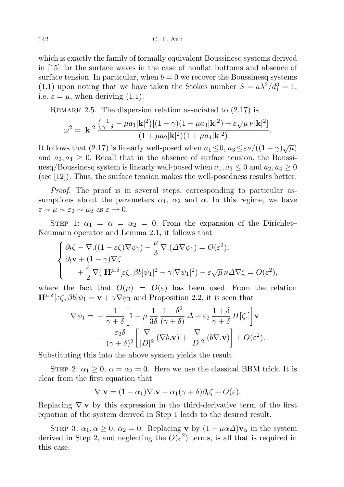which is exactly the family of formally equivalent Boussinesq systems derived in [15] for the surface waves in the case of nonflat bottoms and absence of surface tension. In particular, when  $b = 0$  we recover the Boussinesq systems (1.1) upon noting that we have taken the Stokes number  $S = a\lambda^2/d_1^3 = 1$ , i.e.  $\varepsilon = \mu$ , when deriving (1.1).

REMARK 2.5. The dispersion relation associated to  $(2.17)$  is

$$
\omega^2 = |\mathbf{k}|^2 \, \frac{\left(\frac{1}{\gamma+\delta} - \mu a_1 |\mathbf{k}|^2\right) \left[(1-\gamma)(1-\mu a_3 |\mathbf{k}|^2) + \varepsilon \sqrt{\mu} \, \nu |\mathbf{k}|^2\right]}{(1+\mu a_2 |\mathbf{k}|^2)(1+\mu a_4 |\mathbf{k}|^2)}.
$$

It follows that (2.17) is linearly well-posed when  $a_1 \le 0$ ,  $a_3 \le \varepsilon \nu/((1 - \gamma)\sqrt{\mu})$ and  $a_2, a_4 \geq 0$ . Recall that in the absence of surface tension, the Boussinesq/Boussinesq system is linearly well-posed when  $a_1, a_3 \leq 0$  and  $a_2, a_4 \geq 0$ (see [12]). Thus, the surface tension makes the well-posedness results better.

Proof. The proof is in several steps, corresponding to particular assumptions about the parameters  $\alpha_1$ ,  $\alpha_2$  and  $\alpha$ . In this regime, we have  $\varepsilon \sim \mu \sim \varepsilon_2 \sim \mu_2 \text{ as } \varepsilon \to 0.$ 

STEP 1:  $\alpha_1 = \alpha = \alpha_2 = 0$ . From the expansion of the Dirichlet– Neumann operator and Lemma 2.1, it follows that

$$
\begin{cases} \partial_t \zeta - \nabla \cdot ((1 - \varepsilon \zeta) \nabla \psi_1) - \frac{\mu}{3} \nabla \cdot (\Delta \nabla \psi_1) = O(\varepsilon^2), \\ \partial_t \mathbf{v} + (1 - \gamma) \nabla \zeta \\ \qquad + \frac{\varepsilon}{2} \nabla (|\mathbf{H}^{\mu, \delta}[\varepsilon \zeta, \beta b] \psi_1|^2 - \gamma |\nabla \psi_1|^2) - \varepsilon \sqrt{\mu} \nu \Delta \nabla \zeta = O(\varepsilon^2), \end{cases}
$$

where the fact that  $O(\mu) = O(\varepsilon)$  has been used. From the relation  $\mathbf{H}^{\mu,\delta}[\varepsilon\zeta,\beta b]\psi_1 = \mathbf{v} + \gamma \nabla \psi_1$  and Proposition 2.2, it is seen that

$$
\nabla \psi_1 = -\frac{1}{\gamma + \delta} \left[ 1 + \mu \frac{1}{3\delta} \frac{1 - \delta^2}{(\gamma + \delta)} \Delta + \varepsilon_2 \frac{1 + \delta}{\gamma + \delta} \Pi[\zeta.]\right] \mathbf{v}
$$

$$
- \frac{\varepsilon_2 \delta}{(\gamma + \delta)^2} \left[ \frac{\nabla}{|D|^2} (\nabla b \mathbf{v}) + \frac{\nabla}{|D|^2} (b \nabla \mathbf{v}) \right] + O(\varepsilon^2).
$$

Substituting this into the above system yields the result.

STEP 2:  $\alpha_1 \geq 0$ ,  $\alpha = \alpha_2 = 0$ . Here we use the classical BBM trick. It is clear from the first equation that

$$
\nabla \cdot \mathbf{v} = (1 - \alpha_1) \nabla \cdot \mathbf{v} - \alpha_1 (\gamma + \delta) \partial_t \zeta + O(\varepsilon).
$$

Replacing  $\nabla \mathbf{v}$  by this expression in the third-derivative term of the first equation of the system derived in Step 1 leads to the desired result.

STEP 3:  $\alpha_1, \alpha \geq 0$ ,  $\alpha_2 = 0$ . Replacing **v** by  $(1 - \mu \alpha \Delta) \mathbf{v}_\alpha$  in the system derived in Step 2, and neglecting the  $O(\varepsilon^2)$  terms, is all that is required in this case.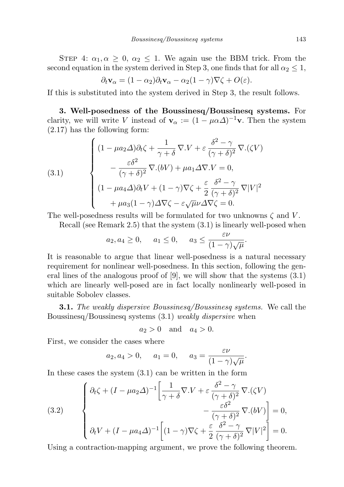STEP 4:  $\alpha_1, \alpha \geq 0$ ,  $\alpha_2 \leq 1$ . We again use the BBM trick. From the second equation in the system derived in Step 3, one finds that for all  $\alpha_2 \leq 1$ ,

$$
\partial_t \mathbf{v}_\alpha = (1 - \alpha_2) \partial_t \mathbf{v}_\alpha - \alpha_2 (1 - \gamma) \nabla \zeta + O(\varepsilon).
$$

If this is substituted into the system derived in Step 3, the result follows.

3. Well-posedness of the Boussinesq/Boussinesq systems. For clarity, we will write V instead of  $\mathbf{v}_{\alpha} := (1 - \mu \alpha \Delta)^{-1} \mathbf{v}$ . Then the system (2.17) has the following form:

(3.1)  

$$
\begin{cases}\n(1 - \mu a_2 \Delta) \partial_t \zeta + \frac{1}{\gamma + \delta} \nabla \cdot V + \varepsilon \frac{\delta^2 - \gamma}{(\gamma + \delta)^2} \nabla \cdot (\zeta V) \\
-\frac{\varepsilon \delta^2}{(\gamma + \delta)^2} \nabla \cdot (bV) + \mu a_1 \Delta \nabla \cdot V = 0, \\
(1 - \mu a_4 \Delta) \partial_t V + (1 - \gamma) \nabla \zeta + \frac{\varepsilon}{2} \frac{\delta^2 - \gamma}{(\gamma + \delta)^2} \nabla |V|^2 \\
+\mu a_3 (1 - \gamma) \Delta \nabla \zeta - \varepsilon \sqrt{\mu} \nu \Delta \nabla \zeta = 0.\n\end{cases}
$$

The well-posedness results will be formulated for two unknowns  $\zeta$  and V.

Recall (see Remark 2.5) that the system (3.1) is linearly well-posed when

$$
a_2, a_4 \ge 0
$$
,  $a_1 \le 0$ ,  $a_3 \le \frac{\varepsilon \nu}{(1 - \gamma)\sqrt{\mu}}$ .

It is reasonable to argue that linear well-posedness is a natural necessary requirement for nonlinear well-posedness. In this section, following the general lines of the analogous proof of  $[9]$ , we will show that the systems  $(3.1)$ which are linearly well-posed are in fact locally nonlinearly well-posed in suitable Sobolev classes.

**3.1.** The weakly dispersive Boussinesq/Boussinesq systems. We call the Boussinesq/Boussinesq systems (3.1) weakly dispersive when

$$
a_2 > 0 \quad \text{and} \quad a_4 > 0.
$$

First, we consider the cases where

$$
a_2, a_4 > 0, \quad a_1 = 0, \quad a_3 = \frac{\varepsilon \nu}{(1 - \gamma)\sqrt{\mu}}.
$$

In these cases the system (3.1) can be written in the form

(3.2)  

$$
\begin{cases}\n\partial_t \zeta + (I - \mu a_2 \Delta)^{-1} \left[ \frac{1}{\gamma + \delta} \nabla \cdot V + \varepsilon \frac{\delta^2 - \gamma}{(\gamma + \delta)^2} \nabla \cdot (\zeta V) - \frac{\varepsilon \delta^2}{(\gamma + \delta)^2} \nabla \cdot (bV) \right] = 0, \\
\partial_t V + (I - \mu a_4 \Delta)^{-1} \left[ (1 - \gamma) \nabla \zeta + \frac{\varepsilon}{2} \frac{\delta^2 - \gamma}{(\gamma + \delta)^2} \nabla |V|^2 \right] = 0.\n\end{cases}
$$

Using a contraction-mapping argument, we prove the following theorem.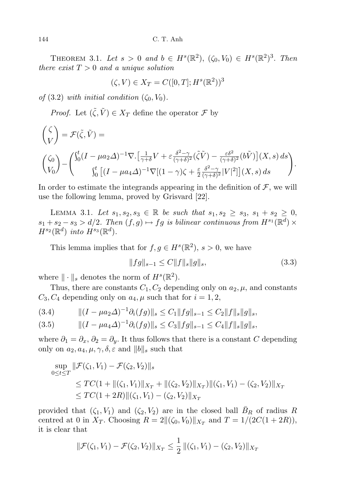THEOREM 3.1. Let  $s > 0$  and  $b \in H^s(\mathbb{R}^2)$ ,  $(\zeta_0, V_0) \in H^s(\mathbb{R}^2)^3$ . Then there exist  $T > 0$  and a unique solution

$$
(\zeta, V) \in X_T = C([0, T]; H^s(\mathbb{R}^2))^3
$$

of (3.2) with initial condition  $(\zeta_0, V_0)$ .

*Proof.* Let  $(\tilde{\zeta}, \tilde{V}) \in X_T$  define the operator  $\mathcal F$  by

$$
\begin{aligned}\n\begin{pmatrix}\n\zeta \\
V\n\end{pmatrix} &= \mathcal{F}(\tilde{\zeta}, \tilde{V}) = \\
\begin{pmatrix}\n\zeta_0 \\
V_0\n\end{pmatrix} - \begin{pmatrix}\n\int_0^t (I - \mu a_2 \Delta)^{-1} \nabla \cdot \left[ \frac{1}{\gamma + \delta} V + \varepsilon \frac{\delta^2 - \gamma}{(\gamma + \delta)^2} (\tilde{\zeta} \tilde{V}) - \frac{\varepsilon \delta^2}{(\gamma + \delta)^2} (b\tilde{V}) \right] (X, s) ds \\
\int_0^t \left[ (I - \mu a_4 \Delta)^{-1} \nabla \left[ (1 - \gamma) \zeta + \frac{\varepsilon}{2} \frac{\delta^2 - \gamma}{(\gamma + \delta)^2} |V|^2 \right] \right] (X, s) ds\n\end{aligned}
$$

In order to estimate the integrands appearing in the definition of  $\mathcal{F}$ , we will use the following lemma, proved by Grisvard [22].

LEMMA 3.1. Let  $s_1, s_2, s_3 \in \mathbb{R}$  be such that  $s_1, s_2 \geq s_3, s_1 + s_2 \geq 0$ ,  $s_1 + s_2 - s_3 > d/2$ . Then  $(f, g) \mapsto fg$  is bilinear continuous from  $H^{s_1}(\mathbb{R}^d) \times$  $H^{s_2}(\mathbb{R}^d)$  into  $H^{s_3}(\mathbb{R}^d)$ .

This lemma implies that for  $f, g \in H^s(\mathbb{R}^2)$ ,  $s > 0$ , we have

$$
||fg||_{s-1} \le C||f||_s||g||_s,\tag{3.3}
$$

where  $\|\cdot\|_s$  denotes the norm of  $H^s(\mathbb{R}^2)$ .

Thus, there are constants  $C_1, C_2$  depending only on  $a_2, \mu$ , and constants  $C_3, C_4$  depending only on  $a_4, \mu$  such that for  $i = 1, 2,$ 

$$
(3.4) \t\t ||(I - \mu a_2 \Delta)^{-1} \partial_i(fg)||_s \le C_1 ||fg||_{s-1} \le C_2 ||f||_s ||g||_s,
$$

$$
(3.5) \t\t ||(I - \mu a_4 \Delta)^{-1} \partial_i(fg)||_s \le C_3 ||fg||_{s-1} \le C_4 ||f||_s ||g||_s,
$$

where  $\partial_1 = \partial_x, \partial_2 = \partial_y$ . It thus follows that there is a constant C depending only on  $a_2, a_4, \mu, \gamma, \delta, \varepsilon$  and  $||b||_s$  such that

$$
\sup_{0 \le t \le T} \|\mathcal{F}(\zeta_1, V_1) - \mathcal{F}(\zeta_2, V_2)\|_{s}
$$
\n
$$
\le TC(1 + \|(\zeta_1, V_1)\|_{X_T} + \|(\zeta_2, V_2)\|_{X_T})\|(\zeta_1, V_1) - (\zeta_2, V_2)\|_{X_T}
$$
\n
$$
\le TC(1 + 2R) \|(\zeta_1, V_1) - (\zeta_2, V_2)\|_{X_T}
$$

provided that  $(\zeta_1, V_1)$  and  $(\zeta_2, V_2)$  are in the closed ball  $\bar{B}_R$  of radius R centred at 0 in  $X_T$ . Choosing  $R = 2\|(\zeta_0, V_0)\|_{X_T}$  and  $T = 1/(2C(1+2R)),$ it is clear that

$$
\|\mathcal{F}(\zeta_1, V_1) - \mathcal{F}(\zeta_2, V_2)\|_{X_T} \le \frac{1}{2} \|(\zeta_1, V_1) - (\zeta_2, V_2)\|_{X_T}
$$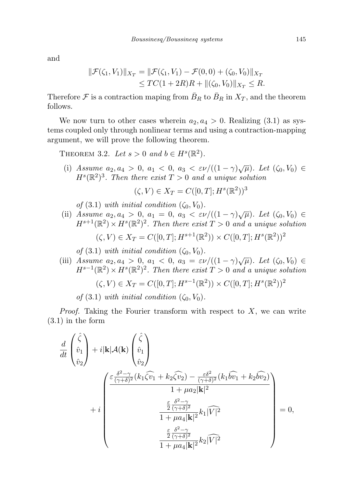and

$$
\|\mathcal{F}(\zeta_1, V_1)\|_{X_T} = \|\mathcal{F}(\zeta_1, V_1) - \mathcal{F}(0, 0) + (\zeta_0, V_0)\|_{X_T}
$$
  
\n
$$
\leq TC(1 + 2R)R + \|(\zeta_0, V_0)\|_{X_T} \leq R.
$$

Therefore  $\mathcal F$  is a contraction maping from  $\bar{B}_R$  to  $\bar{B}_R$  in  $X_T$ , and the theorem follows.

We now turn to other cases wherein  $a_2, a_4 > 0$ . Realizing (3.1) as systems coupled only through nonlinear terms and using a contraction-mapping argument, we will prove the following theorem.

THEOREM 3.2. Let  $s > 0$  and  $b \in H<sup>s</sup>(\mathbb{R}^2)$ .

(i) Assume  $a_2, a_4 > 0, a_1 < 0, a_3 < \varepsilon \nu/((1 - \gamma)\sqrt{\mu})$ . Let  $(\zeta_0, V_0) \in$  $H^{s}(\mathbb{R}^{2})^{3}$ . Then there exist  $T > 0$  and a unique solution

 $(\zeta, V) \in X_T = C([0, T]; H^s(\mathbb{R}^2))^3$ 

of (3.1) with initial condition  $(\zeta_0, V_0)$ .

(ii) Assume  $a_2, a_4 > 0, a_1 = 0, a_3 < \varepsilon \nu/((1 - \gamma)\sqrt{\mu})$ . Let  $(\zeta_0, V_0) \in$  $H^{s+1}(\mathbb{R}^2) \times H^s(\mathbb{R}^2)^2$ . Then there exist  $T > 0$  and a unique solution

$$
(\zeta, V) \in X_T = C([0, T]; H^{s+1}(\mathbb{R}^2)) \times C([0, T]; H^s(\mathbb{R}^2))^2
$$

of  $(3.1)$  with initial condition  $(\zeta_0, V_0)$ .

(iii) Assume  $a_2, a_4 > 0, a_1 < 0, a_3 = \varepsilon \nu/((1 - \gamma)\sqrt{\mu})$ . Let  $(\zeta_0, V_0) \in$  $H^{s-1}(\mathbb{R}^2) \times H^s(\mathbb{R}^2)^2$ . Then there exist  $T > 0$  and a unique solution

$$
(\zeta, V) \in X_T = C([0, T]; H^{s-1}(\mathbb{R}^2)) \times C([0, T]; H^s(\mathbb{R}^2))^2
$$

of (3.1) with initial condition  $(\zeta_0, V_0)$ .

*Proof.* Taking the Fourier transform with respect to  $X$ , we can write (3.1) in the form

$$
\frac{d}{dt}\begin{pmatrix}\n\hat{\zeta} \\
\hat{v}_1 \\
\hat{v}_2\n\end{pmatrix} + i|\mathbf{k}|\mathcal{A}(\mathbf{k})\begin{pmatrix}\n\hat{\zeta} \\
\hat{v}_1 \\
\hat{v}_2\n\end{pmatrix}
$$
\n
$$
+ i \begin{pmatrix}\n\frac{\varepsilon \frac{\delta^2 - \gamma}{(\gamma + \delta)^2} (k_1 \hat{\zeta} \hat{v}_1 + k_2 \hat{\zeta} \hat{v}_2) - \frac{\varepsilon \delta^2}{(\gamma + \delta)^2} (k_1 \hat{b} \hat{v}_1 + k_2 \hat{b} \hat{v}_2)}{1 + \mu a_2 |\mathbf{k}|^2} \\
+ i \begin{pmatrix}\n\frac{\varepsilon}{2} \frac{\delta^2 - \gamma}{(\gamma + \delta)^2} \\
1 + \mu a_4 |\mathbf{k}|^2 k_1 |\widehat{V}|^2 \\
1 + \mu a_4 |\mathbf{k}|^2 k_2 |\widehat{V}|^2\n\end{pmatrix} = 0,
$$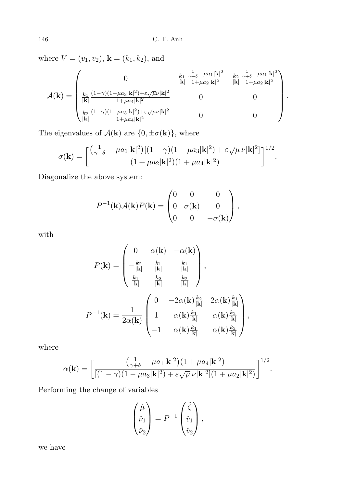where  $V = (v_1, v_2)$ ,  $\mathbf{k} = (k_1, k_2)$ , and

$$
\mathcal{A}(\mathbf{k}) = \begin{pmatrix}\n0 & \frac{k_1}{N_1} \frac{\frac{1}{\gamma + \delta} - \mu a_1 |\mathbf{k}|^2}{|\mathbf{k}|^2} & \frac{k_2}{N_1} \frac{\frac{1}{\gamma + \delta} - \mu a_1 |\mathbf{k}|^2}{1 + \mu a_2 |\mathbf{k}|^2} \\
\frac{k_1}{|\mathbf{k}|} \frac{(1 - \gamma)(1 - \mu a_3 |\mathbf{k}|^2) + \varepsilon \sqrt{\mu} \nu |\mathbf{k}|^2}{1 + \mu a_4 |\mathbf{k}|^2} & 0 & 0 \\
\frac{k_2}{|\mathbf{k}|} \frac{(1 - \gamma)(1 - \mu a_3 |\mathbf{k}|^2) + \varepsilon \sqrt{\mu} \nu |\mathbf{k}|^2}{1 + \mu a_4 |\mathbf{k}|^2} & 0 & 0\n\end{pmatrix}
$$

.

The eigenvalues of  $\mathcal{A}(\mathbf{k})$  are  $\{0, \pm \sigma(\mathbf{k})\}$ , where

$$
\sigma(\mathbf{k}) = \left[ \frac{\left(\frac{1}{\gamma+\delta} - \mu a_1 |\mathbf{k}|^2\right) [(1-\gamma)(1-\mu a_3|\mathbf{k}|^2) + \varepsilon \sqrt{\mu} \nu |\mathbf{k}|^2]}{(1+\mu a_2 |\mathbf{k}|^2)(1+\mu a_4 |\mathbf{k}|^2)} \right]^{1/2}.
$$

Diagonalize the above system:

$$
P^{-1}(\mathbf{k})\mathcal{A}(\mathbf{k})P(\mathbf{k}) = \begin{pmatrix} 0 & 0 & 0 \\ 0 & \sigma(\mathbf{k}) & 0 \\ 0 & 0 & -\sigma(\mathbf{k}) \end{pmatrix},
$$

with

$$
P(\mathbf{k}) = \begin{pmatrix} 0 & \alpha(\mathbf{k}) & -\alpha(\mathbf{k}) \\ -\frac{k_2}{|\mathbf{k}|} & \frac{k_1}{|\mathbf{k}|} & \frac{k_1}{|\mathbf{k}|} \\ \frac{k_1}{|\mathbf{k}|} & \frac{k_2}{|\mathbf{k}|} & \frac{k_2}{|\mathbf{k}|} \end{pmatrix},
$$

$$
P^{-1}(\mathbf{k}) = \frac{1}{2\alpha(\mathbf{k})} \begin{pmatrix} 0 & -2\alpha(\mathbf{k})\frac{k_2}{|\mathbf{k}|} & 2\alpha(\mathbf{k})\frac{k_1}{|\mathbf{k}|} \\ 1 & \alpha(\mathbf{k})\frac{k_1}{|\mathbf{k}|} & \alpha(\mathbf{k})\frac{k_2}{|\mathbf{k}|} \\ -1 & \alpha(\mathbf{k})\frac{k_1}{|\mathbf{k}|} & \alpha(\mathbf{k})\frac{k_2}{|\mathbf{k}|} \end{pmatrix},
$$

where

$$
\alpha(\mathbf{k}) = \left[ \frac{\left(\frac{1}{\gamma + \delta} - \mu a_1 |\mathbf{k}|^2\right) (1 + \mu a_4 |\mathbf{k}|^2)}{\left[ (1 - \gamma)(1 - \mu a_3 |\mathbf{k}|^2) + \varepsilon \sqrt{\mu} \nu |\mathbf{k}|^2 \right] (1 + \mu a_2 |\mathbf{k}|^2)} \right]^{1/2}.
$$

Performing the change of variables

$$
\begin{pmatrix} \hat{\mu} \\ \hat{\nu}_1 \\ \hat{\nu}_2 \end{pmatrix} = P^{-1} \begin{pmatrix} \hat{\zeta} \\ \hat{v}_1 \\ \hat{v}_2 \end{pmatrix},
$$

we have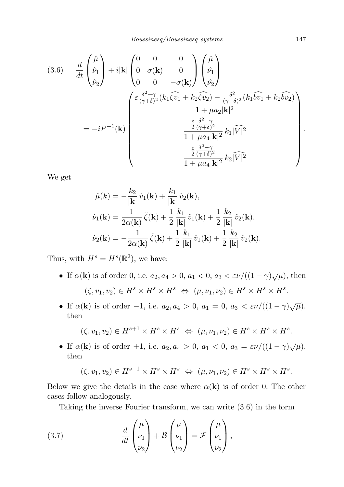$$
(3.6) \quad \frac{d}{dt} \begin{pmatrix} \hat{\mu} \\ \hat{\nu}_1 \\ \hat{\nu}_2 \end{pmatrix} + i|\mathbf{k}| \begin{pmatrix} 0 & 0 & 0 \\ 0 & \sigma(\mathbf{k}) & 0 \\ 0 & 0 & -\sigma(\mathbf{k}) \end{pmatrix} \begin{pmatrix} \hat{\mu} \\ \hat{\nu}_1 \\ \hat{\nu}_2 \end{pmatrix}
$$

$$
= -iP^{-1}(\mathbf{k}) \begin{pmatrix} \frac{\varepsilon}{(\gamma+\delta)^2} (k_1\hat{\psi}_1 + k_2\hat{\psi}_2) - \frac{\delta^2}{(\gamma+\delta)^2} (k_1\hat{\psi}_1 + k_2\hat{\psi}_2) \\ \frac{\varepsilon}{2} \frac{\delta^2 - \gamma}{(\gamma+\delta)^2} + \mu a_2 |\mathbf{k}|^2 \\ \frac{\varepsilon}{2} \frac{\delta^2 - \gamma}{(\gamma+\delta)^2} \\ \frac{\varepsilon}{2} \frac{\delta^2 - \gamma}{(\gamma+\delta)^2} \\ \frac{\varepsilon}{2} \frac{\delta^2 - \gamma}{(\gamma+\delta)^2} k_1 |\widehat{V}|^2 \end{pmatrix}
$$

We get

$$
\hat{\mu}(k) = -\frac{k_2}{|\mathbf{k}|} \hat{v}_1(\mathbf{k}) + \frac{k_1}{|\mathbf{k}|} \hat{v}_2(\mathbf{k}),
$$
  

$$
\hat{v}_1(\mathbf{k}) = \frac{1}{2\alpha(\mathbf{k})} \hat{\zeta}(\mathbf{k}) + \frac{1}{2} \frac{k_1}{|\mathbf{k}|} \hat{v}_1(\mathbf{k}) + \frac{1}{2} \frac{k_2}{|\mathbf{k}|} \hat{v}_2(\mathbf{k}),
$$
  

$$
\hat{v}_2(\mathbf{k}) = -\frac{1}{2\alpha(\mathbf{k})} \hat{\zeta}(\mathbf{k}) + \frac{1}{2} \frac{k_1}{|\mathbf{k}|} \hat{v}_1(\mathbf{k}) + \frac{1}{2} \frac{k_2}{|\mathbf{k}|} \hat{v}_2(\mathbf{k}).
$$

Thus, with  $H^s = H^s(\mathbb{R}^2)$ , we have:

- If  $\alpha(\mathbf{k})$  is of order 0, i.e.  $a_2, a_4 > 0$ ,  $a_1 < 0$ ,  $a_3 < \varepsilon \nu/((1 \gamma)\sqrt{\mu})$ , then  $(\zeta, v_1, v_2) \in H^s \times H^s \times H^s \iff (\mu, \nu_1, \nu_2) \in H^s \times H^s \times H^s.$
- If  $\alpha(\mathbf{k})$  is of order  $-1$ , i.e.  $a_2, a_4 > 0$ ,  $a_1 = 0$ ,  $a_3 < \varepsilon \nu/((1 \gamma)\sqrt{\mu})$ , then

$$
(\zeta, v_1, v_2) \in H^{s+1} \times H^s \times H^s \iff (\mu, \nu_1, \nu_2) \in H^s \times H^s \times H^s.
$$

• If  $\alpha(\mathbf{k})$  is of order +1, i.e.  $a_2, a_4 > 0$ ,  $a_1 < 0$ ,  $a_3 = \varepsilon \nu/((1 - \gamma)\sqrt{\mu})$ , then

$$
(\zeta, v_1, v_2) \in H^{s-1} \times H^s \times H^s \iff (\mu, \nu_1, \nu_2) \in H^s \times H^s \times H^s.
$$

Below we give the details in the case where  $\alpha(\mathbf{k})$  is of order 0. The other cases follow analogously.

Taking the inverse Fourier transform, we can write (3.6) in the form

(3.7) 
$$
\frac{d}{dt}\begin{pmatrix} \mu \\ \nu_1 \\ \nu_2 \end{pmatrix} + \mathcal{B}\begin{pmatrix} \mu \\ \nu_1 \\ \nu_2 \end{pmatrix} = \mathcal{F}\begin{pmatrix} \mu \\ \nu_1 \\ \nu_2 \end{pmatrix},
$$

.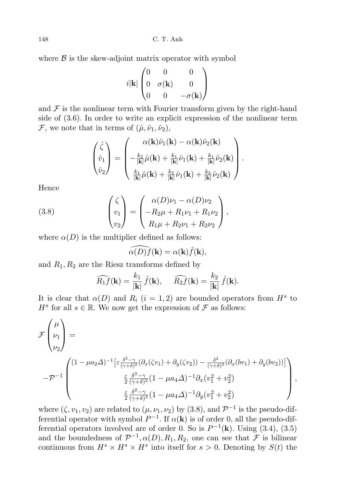148 C. T. Anh

where  $\beta$  is the skew-adjoint matrix operator with symbol

$$
i|\mathbf{k}| \begin{pmatrix} 0 & 0 & 0 \\ 0 & \sigma(\mathbf{k}) & 0 \\ 0 & 0 & -\sigma(\mathbf{k}) \end{pmatrix}
$$

and  $\mathcal F$  is the nonlinear term with Fourier transform given by the right-hand side of (3.6). In order to write an explicit expression of the nonlinear term F, we note that in terms of  $(\hat{\mu}, \hat{\nu}_1, \hat{\nu}_2)$ ,

$$
\begin{pmatrix}\n\hat{\zeta} \\
\hat{v}_1 \\
\hat{v}_2\n\end{pmatrix} = \begin{pmatrix}\n\alpha(\mathbf{k})\hat{\nu}_1(\mathbf{k}) - \alpha(\mathbf{k})\hat{\nu}_2(\mathbf{k}) \\
-\frac{k_2}{|\mathbf{k}|}\hat{\mu}(\mathbf{k}) + \frac{k_1}{|\mathbf{k}|}\hat{\nu}_1(\mathbf{k}) + \frac{k_1}{|\mathbf{k}|}\hat{\nu}_2(\mathbf{k}) \\
\frac{k_1}{|\mathbf{k}|}\hat{\mu}(\mathbf{k}) + \frac{k_2}{|\mathbf{k}|}\hat{\nu}_1(\mathbf{k}) + \frac{k_2}{|\mathbf{k}|}\hat{\nu}_2(\mathbf{k})\n\end{pmatrix}.
$$

Hence

(3.8) 
$$
\begin{pmatrix} \zeta \\ v_1 \\ v_2 \end{pmatrix} = \begin{pmatrix} \alpha(D)\nu_1 - \alpha(D)\nu_2 \\ -R_2\mu + R_1\nu_1 + R_1\nu_2 \\ R_1\mu + R_2\nu_1 + R_2\nu_2 \end{pmatrix},
$$

where  $\alpha(D)$  is the multiplier defined as follows:

$$
\widehat{\alpha(D)f}(\mathbf{k}) = \alpha(\mathbf{k})\widehat{f}(\mathbf{k}),
$$

and  $R_1, R_2$  are the Riesz transforms defined by

$$
\widehat{R_1 f}(\mathbf{k}) = \frac{k_1}{|\mathbf{k}|} \hat{f}(\mathbf{k}), \quad \widehat{R_2 f}(\mathbf{k}) = \frac{k_2}{|\mathbf{k}|} \hat{f}(\mathbf{k}).
$$

It is clear that  $\alpha(D)$  and  $R_i$   $(i = 1, 2)$  are bounded operators from  $H^s$  to  $H^s$  for all  $s \in \mathbb{R}$ . We now get the expression of  $\mathcal F$  as follows:

$$
\mathcal{F}\begin{pmatrix}\n\mu \\
\nu_1 \\
\nu_2\n\end{pmatrix} = \n\begin{bmatrix}\n(1 - \mu a_2 \Delta)^{-1} \left[ \varepsilon \frac{\delta^2 - \gamma}{(\gamma + \delta)^2} (\partial_x(\zeta v_1) + \partial_y(\zeta v_2)) - \frac{\delta^2}{(\gamma + \delta)^2} (\partial_x(bv_1) + \partial_y(bv_2)) \right] \\
\frac{\varepsilon}{2} \frac{\delta^2 - \gamma}{(\gamma + \delta)^2} (1 - \mu a_4 \Delta)^{-1} \partial_x (v_1^2 + v_2^2) \\
\frac{\varepsilon}{2} \frac{\delta^2 - \gamma}{(\gamma + \delta)^2} (1 - \mu a_4 \Delta)^{-1} \partial_y (v_1^2 + v_2^2)\n\end{bmatrix},
$$

where  $(\zeta, v_1, v_2)$  are related to  $(\mu, \nu_1, \nu_2)$  by  $(3.8)$ , and  $\mathcal{P}^{-1}$  is the pseudo-differential operator with symbol  $P^{-1}$ . If  $\alpha(\mathbf{k})$  is of order 0, all the pseudo-differential operators involved are of order 0. So is  $P^{-1}(\mathbf{k})$ . Using (3.4), (3.5) and the boundedness of  $\mathcal{P}^{-1}, \alpha(D), R_1, R_2$ , one can see that  $\mathcal F$  is bilinear continuous from  $H^s \times H^s \times H^s$  into itself for  $s > 0$ . Denoting by  $S(t)$  the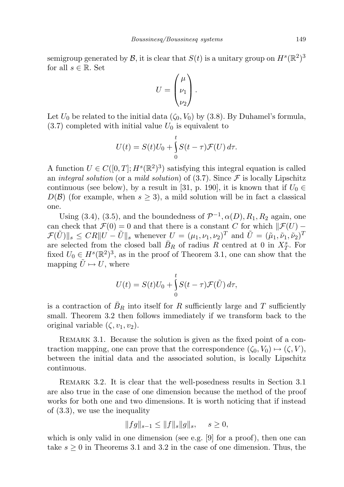semigroup generated by  $\mathcal{B}$ , it is clear that  $S(t)$  is a unitary group on  $H^s(\mathbb{R}^2)^3$ for all  $s \in \mathbb{R}$ . Set

$$
U = \begin{pmatrix} \mu \\ \nu_1 \\ \nu_2 \end{pmatrix}.
$$

Let  $U_0$  be related to the initial data  $(\zeta_0, V_0)$  by (3.8). By Duhamel's formula,  $(3.7)$  completed with initial value  $U_0$  is equivalent to

$$
U(t) = S(t)U_0 + \int_0^t S(t - \tau) \mathcal{F}(U) d\tau.
$$

A function  $U \in C([0,T]; H^s(\mathbb{R}^2)^3)$  satisfying this integral equation is called an integral solution (or a mild solution) of  $(3.7)$ . Since F is locally Lipschitz continuous (see below), by a result in [31, p. 190], it is known that if  $U_0 \in$  $D(\mathcal{B})$  (for example, when  $s \geq 3$ ), a mild solution will be in fact a classical one.

Using (3.4), (3.5), and the boundedness of  $\mathcal{P}^{-1}$ ,  $\alpha(D)$ ,  $R_1$ ,  $R_2$  again, one can check that  $\mathcal{F}(0) = 0$  and that there is a constant C for which  $\|\mathcal{F}(U) \mathcal{F}(\tilde{U})\|_{s} \leq C R \|U - \tilde{U}\|_{s}$  whenever  $U = (\mu_1, \nu_1, \nu_2)^T$  and  $\tilde{U} = (\tilde{\mu}_1, \tilde{\nu}_1, \tilde{\nu}_2)^T$ are selected from the closed ball  $\bar{B}_R$  of radius R centred at 0 in  $X_T^s$ . For fixed  $U_0 \in H^s(\mathbb{R}^2)^3$ , as in the proof of Theorem 3.1, one can show that the mapping  $\tilde{U} \mapsto U$ , where

$$
U(t) = S(t)U_0 + \int_0^t S(t - \tau) \mathcal{F}(\tilde{U}) d\tau,
$$

is a contraction of  $\bar{B}_R$  into itself for R sufficiently large and T sufficiently small. Theorem 3.2 then follows immediately if we transform back to the original variable  $(\zeta, v_1, v_2)$ .

REMARK 3.1. Because the solution is given as the fixed point of a contraction mapping, one can prove that the correspondence  $(\zeta_0, V_0) \mapsto (\zeta, V)$ , between the initial data and the associated solution, is locally Lipschitz continuous.

Remark 3.2. It is clear that the well-posedness results in Section 3.1 are also true in the case of one dimension because the method of the proof works for both one and two dimensions. It is worth noticing that if instead of (3.3), we use the inequality

$$
||fg||_{s-1} \le ||f||_s ||g||_s, \quad s \ge 0,
$$

which is only valid in one dimension (see e.g.  $[9]$  for a proof), then one can take  $s \geq 0$  in Theorems 3.1 and 3.2 in the case of one dimension. Thus, the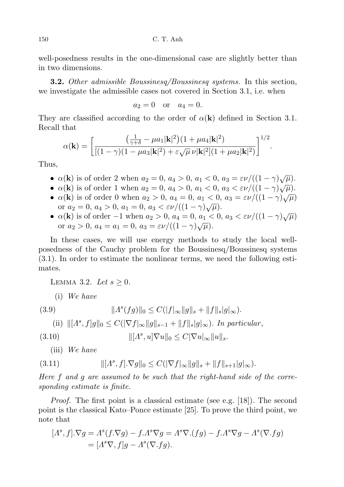well-posedness results in the one-dimensional case are slightly better than in two dimensions.

**3.2.** Other admissible Boussinesq/Boussinesq systems. In this section, we investigate the admissible cases not covered in Section 3.1, i.e. when

$$
a_2 = 0
$$
 or  $a_4 = 0$ .

They are classified according to the order of  $\alpha(\mathbf{k})$  defined in Section 3.1. Recall that

$$
\alpha(\mathbf{k}) = \left[ \frac{\left(\frac{1}{\gamma + \delta} - \mu a_1 |\mathbf{k}|^2\right) (1 + \mu a_4 |\mathbf{k}|^2)}{\left[ (1 - \gamma)(1 - \mu a_3 |\mathbf{k}|^2) + \varepsilon \sqrt{\mu} \nu |\mathbf{k}|^2 \right] (1 + \mu a_2 |\mathbf{k}|^2)} \right]^{1/2}.
$$

Thus,

- $\alpha(\mathbf{k})$  is of order 2 when  $a_2 = 0$ ,  $a_4 > 0$ ,  $a_1 < 0$ ,  $a_3 = \varepsilon \nu / ((1 \gamma)\sqrt{\mu}).$
- $\alpha(\mathbf{k})$  is of order 1 when  $a_2 = 0$ ,  $a_4 > 0$ ,  $a_1 < 0$ ,  $a_3 < \varepsilon \nu/((1 \gamma)\sqrt{\mu})$ .
- $\alpha(\mathbf{k})$  is of order 0 when  $a_2 > 0$ ,  $a_4 > 0$ ,  $a_1 < 0$ ,  $a_3 < c\nu/((1 r)\sqrt{\mu})$ <br>•  $\alpha(\mathbf{k})$  is of order 0 when  $a_2 > 0$ ,  $a_4 = 0$ ,  $a_1 < 0$ ,  $a_3 = \varepsilon\nu/((1 \gamma)\sqrt{\mu})$ or  $a_2 = 0$ ,  $a_4 > 0$ ,  $a_1 = 0$ ,  $a_3 < \varepsilon \nu/((1 - \gamma)\sqrt{\mu})$ .
- $\alpha(\mathbf{k})$  is of order  $-1$  when  $a_2 > 0$ ,  $a_4 = 0$ ,  $a_1 < 0$ ,  $a_3 < \varepsilon \nu/((1 \gamma)\sqrt{\mu})$ or  $a_2 > 0$ ,  $a_4 = a_1 = 0$ ,  $a_3 = \varepsilon \nu / ((1 - \gamma) \sqrt{\mu}).$

In these cases, we will use energy methods to study the local wellposedness of the Cauchy problem for the Boussinesq/Boussinesq systems (3.1). In order to estimate the nonlinear terms, we need the following estimates.

LEMMA 3.2. Let  $s \geq 0$ .

(i) We have

(3.9) 
$$
||A^{s}(fg)||_{0} \leq C(|f|_{\infty}||g||_{s} + ||f||_{s}|g|_{\infty}).
$$

(ii) 
$$
\| [A^s, f]g \|_0 \leq C (|\nabla f|_\infty \| g \|_{s-1} + \|f\|_s |g|_\infty).
$$
 In particular,

(3.10) 
$$
\| [A^s, u] \nabla u \|_0 \leq C |\nabla u|_{\infty} \| u \|_s.
$$

(iii) We have

(3.11) 
$$
\| [A^s, f] \cdot \nabla g \|_0 \leq C (|\nabla f|_{\infty} \| g \|_s + \| f \|_{s+1} |g|_{\infty}).
$$

Here f and g are assumed to be such that the right-hand side of the corresponding estimate is finite.

Proof. The first point is a classical estimate (see e.g. [18]). The second point is the classical Kato–Ponce estimate [25]. To prove the third point, we note that

$$
[A^s, f].\nabla g = A^s(f.\nabla g) - f.A^s\nabla g = A^s\nabla.(fg) - f.A^s\nabla g - A^s(\nabla.fg)
$$
  
= 
$$
[A^s\nabla, f]g - A^s(\nabla.fg).
$$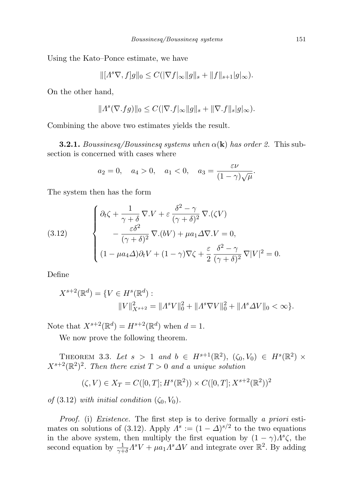Using the Kato–Ponce estimate, we have

$$
\|[A^s \nabla, f]g\|_{0} \le C(|\nabla f|_{\infty} \|g\|_{s} + \|f\|_{s+1} |g|_{\infty}).
$$

On the other hand,

$$
||As(\nabla.fg)||_0 \leq C(|\nabla.f|_{\infty}||g||_s + ||\nabla.f||_s|g|_{\infty}).
$$

Combining the above two estimates yields the result.

**3.2.1.** Boussinesq/Boussinesq systems when  $\alpha(\mathbf{k})$  has order 2. This subsection is concerned with cases where

$$
a_2 = 0
$$
,  $a_4 > 0$ ,  $a_1 < 0$ ,  $a_3 = \frac{\varepsilon \nu}{(1 - \gamma)\sqrt{\mu}}$ .

The system then has the form

(3.12) 
$$
\begin{cases} \partial_t \zeta + \frac{1}{\gamma + \delta} \nabla \cdot V + \varepsilon \frac{\delta^2 - \gamma}{(\gamma + \delta)^2} \nabla \cdot (\zeta V) \\ - \frac{\varepsilon \delta^2}{(\gamma + \delta)^2} \nabla \cdot (bV) + \mu a_1 \Delta \nabla \cdot V = 0, \\ (1 - \mu a_4 \Delta) \partial_t V + (1 - \gamma) \nabla \zeta + \frac{\varepsilon}{2} \frac{\delta^2 - \gamma}{(\gamma + \delta)^2} \nabla |V|^2 = 0. \end{cases}
$$

Define

$$
X^{s+2}(\mathbb{R}^d) = \{ V \in H^s(\mathbb{R}^d) : ||V||_{X^{s+2}}^2 = ||A^s V||_0^2 + ||A^s \nabla V||_0^2 + ||A^s \Delta V||_0 < \infty \}.
$$

Note that  $X^{s+2}(\mathbb{R}^d) = H^{s+2}(\mathbb{R}^d)$  when  $d = 1$ .

We now prove the following theorem.

THEOREM 3.3. Let  $s > 1$  and  $b \in H^{s+1}(\mathbb{R}^2)$ ,  $(\zeta_0, V_0) \in H^s(\mathbb{R}^2) \times$  $X^{s+2}(\mathbb{R}^2)^2$ . Then there exist  $T>0$  and a unique solution

$$
(\zeta, V) \in X_T = C([0, T]; H^s(\mathbb{R}^2)) \times C([0, T]; X^{s+2}(\mathbb{R}^2))^2
$$

of  $(3.12)$  with initial condition  $(\zeta_0, V_0)$ .

Proof. (i) Existence. The first step is to derive formally a priori estimates on solutions of (3.12). Apply  $\Lambda^s := (1 - \Delta)^{s/2}$  to the two equations in the above system, then multiply the first equation by  $(1 - \gamma) \Lambda^s \zeta$ , the second equation by  $\frac{1}{\gamma+\delta}A^sV + \mu a_1 A^s \Delta V$  and integrate over  $\mathbb{R}^2$ . By adding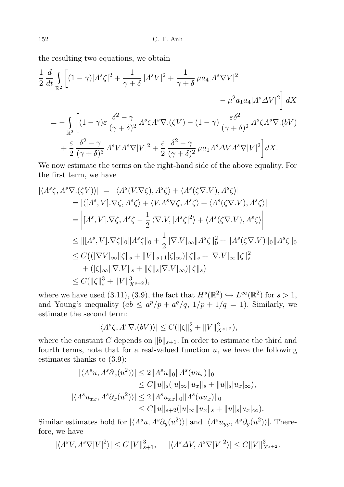the resulting two equations, we obtain

$$
\frac{1}{2} \frac{d}{dt} \int_{\mathbb{R}^2} \left[ (1 - \gamma) |A^s \zeta|^2 + \frac{1}{\gamma + \delta} |A^s V|^2 + \frac{1}{\gamma + \delta} \mu a_4 |A^s \nabla V|^2 - \mu^2 a_1 a_4 |A^s \Delta V|^2 \right] dX
$$
  
\n
$$
= - \int_{\mathbb{R}^2} \left[ (1 - \gamma) \varepsilon \frac{\delta^2 - \gamma}{(\gamma + \delta)^2} A^s \zeta A^s \nabla \cdot (\zeta V) - (1 - \gamma) \frac{\varepsilon \delta^2}{(\gamma + \delta)^2} A^s \zeta A^s \nabla \cdot (bV) + \frac{\varepsilon}{2} \frac{\delta^2 - \gamma}{(\gamma + \delta)^3} A^s V A^s \nabla |V|^2 + \frac{\varepsilon}{2} \frac{\delta^2 - \gamma}{(\gamma + \delta)^2} \mu a_1 A^s \Delta V A^s \nabla |V|^2 \right] dX.
$$

We now estimate the terms on the right-hand side of the above equality. For the first term, we have

$$
\begin{split}\n|\langle A^s \zeta, A^s \nabla.(\zeta V) \rangle| &= |\langle A^s (V.\nabla \zeta), A^s \zeta \rangle + \langle A^s (\zeta \nabla. V), A^s \zeta \rangle| \\
&= |\langle [A^s, V].\nabla \zeta, A^s \zeta \rangle + \langle V.A^s \nabla \zeta, A^s \zeta \rangle + \langle A^s (\zeta \nabla. V), A^s \zeta \rangle| \\
&= \left| [A^s, V].\nabla \zeta, A^s \zeta - \frac{1}{2} \langle \nabla. V, |A^s \zeta|^2 \rangle + \langle A^s (\zeta \nabla. V), A^s \zeta \rangle \right| \\
&\leq ||[A^s, V].\nabla \zeta||_0 ||A^s \zeta||_0 + \frac{1}{2} |\nabla. V|_\infty ||A^s \zeta||_0^2 + ||A^s (\zeta \nabla. V)||_0 ||A^s \zeta||_0 \\
&\leq C \big( (|\nabla V|_\infty ||\zeta||_s + ||V||_{s+1} |\zeta|_\infty) ||\zeta||_s + |\nabla. V|_\infty ||\zeta||_s^2 \\
&+ (|\zeta|_\infty ||\nabla. V||_s + ||\zeta||_s |\nabla. V|_\infty) ||\zeta||_s \big) \\
&\leq C (||\zeta||_s^3 + ||V||_{X^{s+2}}^3),\n\end{split}
$$

where we have used (3.11), (3.9), the fact that  $H^s(\mathbb{R}^2) \hookrightarrow L^{\infty}(\mathbb{R}^2)$  for  $s > 1$ , and Young's inequality  $(ab \le a^p/p + a^q/q, 1/p + 1/q = 1)$ . Similarly, we estimate the second term:

$$
|\langle A^s\zeta, A^s\nabla.(bV)\rangle| \leq C(||\zeta||_s^2 + ||V||_{X^{s+2}}^2),
$$

where the constant C depends on  $||b||_{s+1}$ . In order to estimate the third and fourth terms, note that for a real-valued function  $u$ , we have the following estimates thanks to (3.9):

$$
|\langle A^s u, A^s \partial_x (u^2) \rangle| \le 2 \|A^s u\|_0 \|A^s (u u_x)\|_0
$$
  
\n
$$
\le C \|u\|_s (|u|_\infty \|u_x\|_s + \|u\|_s |u_x|_\infty),
$$
  
\n
$$
|\langle A^s u_{xx}, A^s \partial_x (u^2) \rangle| \le 2 \|A^s u_{xx}\|_0 \|A^s (u u_x)\|_0
$$
  
\n
$$
\le C \|u\|_{s+2} (|u|_\infty \|u_x\|_s + \|u\|_s |u_x|_\infty).
$$

Similar estimates hold for  $|\langle A^s u, A^s \partial_y(u^2) \rangle|$  and  $|\langle A^s u_{yy}, A^s \partial_y(u^2) \rangle|$ . Therefore, we have

 $|\langle A^s V, A^s \nabla |V|^2 \rangle| \leq C ||V||_{s+1}^3, \quad |\langle A^s \Delta V, A^s \nabla |V|^2 \rangle| \leq C ||V||_{X^{s+2}}^3.$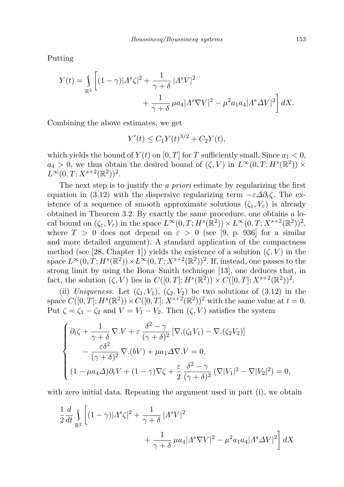Putting

$$
Y(t) = \int_{\mathbb{R}^2} \left[ (1 - \gamma) |A^s \zeta|^2 + \frac{1}{\gamma + \delta} |A^s V|^2 + \frac{1}{\gamma + \delta} \mu a_4 |A^s \nabla V|^2 - \mu^2 a_1 a_4 |A^s \Delta V|^2 \right] dX.
$$

Combining the above estimates, we get

$$
Y'(t) \le C_1 Y(t)^{3/2} + C_2 Y(t),
$$

which yields the bound of  $Y(t)$  on [0, T] for T sufficiently small. Since  $a_1 < 0$ ,  $a_4 > 0$ , we thus obtain the desired bound of  $(\zeta, V)$  in  $L^{\infty}(0,T; H^s(\mathbb{R}^2)) \times$  $L^{\infty}(0,T;X^{s+2}(\mathbb{R}^2))^2$ .

The next step is to justify the *a priori* estimate by regularizing the first equation in (3.12) with the dispersive regularizing term  $-\varepsilon \Delta \partial_t \zeta$ . The existence of a sequence of smooth approximate solutions  $(\zeta_{\varepsilon}, V_{\varepsilon})$  is already obtained in Theorem 3.2. By exactly the same procedure, one obtains a local bound on  $(\zeta_{\varepsilon}, V_{\varepsilon})$  in the space  $L^{\infty}(0,T; H^{s}(\mathbb{R}^{2})) \times L^{\infty}(0,T; X^{s+2}(\mathbb{R}^{2}))^{2}$ , where  $T > 0$  does not depend on  $\varepsilon > 0$  (see [9, p. 936] for a similar and more detailed argument). A standard application of the compactness method (see [28, Chapter 1]) yields the existence of a solution  $(\zeta, V)$  in the space  $L^{\infty}(0,T;H^s(\mathbb{R}^2)) \times L^{\infty}(0,T;X^{s+2}(\mathbb{R}^2))^2$ . If, instead, one passes to the strong limit by using the Bona–Smith technique [13], one deduces that, in fact, the solution  $(\zeta, V)$  lies in  $C([0,T]; H^s(\mathbb{R}^2)) \times C([0,T]; X^{s+2}(\mathbb{R}^2))^2$ .

(ii) Uniqueness. Let  $(\zeta_1, V_1)$ ,  $(\zeta_2, V_2)$  be two solutions of  $(3.12)$  in the space  $C([0,T]; H^s(\mathbb{R}^2)) \times C([0,T]; X^{s+2}(\mathbb{R}^2))^2$  with the same value at  $t = 0$ . Put  $\zeta = \zeta_1 - \zeta_2$  and  $V = V_1 - V_2$ . Then  $(\zeta, V)$  satisfies the system

$$
\begin{cases}\n\partial_t \zeta + \frac{1}{\gamma + \delta} \nabla \cdot V + \varepsilon \frac{\delta^2 - \gamma}{(\gamma + \delta)^2} \left[ \nabla \cdot (\zeta_1 V_1) - \nabla \cdot (\zeta_2 V_2) \right] \\
- \frac{\varepsilon \delta^2}{(\gamma + \delta)^2} \nabla \cdot (bV) + \mu a_1 \Delta \nabla \cdot V = 0, \\
(1 - \mu a_4 \Delta) \partial_t V + (1 - \gamma) \nabla \zeta + \frac{\varepsilon}{2} \frac{\delta^2 - \gamma}{(\gamma + \delta)^2} \left( \nabla |V_1|^2 - \nabla |V_2|^2 \right) = 0,\n\end{cases}
$$

with zero initial data. Repeating the argument used in part (i), we obtain

$$
\frac{1}{2}\frac{d}{dt}\int_{\mathbb{R}^2} \left[ (1-\gamma)|A^s\zeta|^2 + \frac{1}{\gamma+\delta} |A^s V|^2 + \frac{1}{\gamma+\delta} \mu a_4 |A^s \nabla V|^2 - \mu^2 a_1 a_4 |A^s \Delta V|^2 \right] dX
$$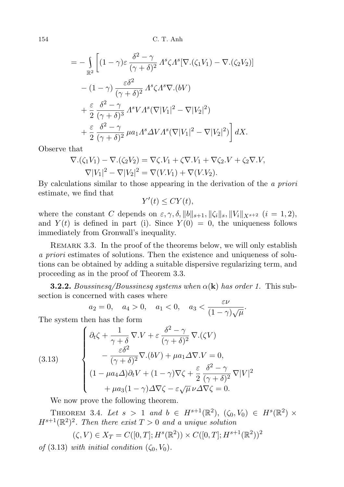$$
= -\int_{\mathbb{R}^2} \left[ (1-\gamma)\varepsilon \frac{\delta^2 - \gamma}{(\gamma + \delta)^2} \Lambda^s \zeta \Lambda^s [\nabla \cdot (\zeta_1 V_1) - \nabla \cdot (\zeta_2 V_2)] - (1-\gamma) \frac{\varepsilon \delta^2}{(\gamma + \delta)^2} \Lambda^s \zeta \Lambda^s \nabla \cdot (bV) + \frac{\varepsilon}{2} \frac{\delta^2 - \gamma}{(\gamma + \delta)^3} \Lambda^s V \Lambda^s (\nabla |V_1|^2 - \nabla |V_2|^2) + \frac{\varepsilon}{2} \frac{\delta^2 - \gamma}{(\gamma + \delta)^2} \mu a_1 \Lambda^s \Delta V \Lambda^s (\nabla |V_1|^2 - \nabla |V_2|^2) \right] dX.
$$

Observe that

$$
\nabla \cdot (\zeta_1 V_1) - \nabla \cdot (\zeta_2 V_2) = \nabla \zeta \cdot V_1 + \zeta \nabla \cdot V_1 + \nabla \zeta_2 \cdot V + \zeta_2 \nabla \cdot V_2
$$

$$
\nabla |V_1|^2 - \nabla |V_2|^2 = \nabla (V \cdot V_1) + \nabla (V \cdot V_2).
$$

By calculations similar to those appearing in the derivation of the a priori estimate, we find that

$$
Y'(t) \le CY(t),
$$

where the constant C depends on  $\varepsilon, \gamma, \delta, ||b||_{s+1}, ||\zeta_i||_s, ||V_i||_{X^{s+2}}$   $(i = 1, 2),$ and  $Y(t)$  is defined in part (i). Since  $Y(0) = 0$ , the uniqueness follows immediately from Gronwall's inequality.

Remark 3.3. In the proof of the theorems below, we will only establish a priori estimates of solutions. Then the existence and uniqueness of solutions can be obtained by adding a suitable dispersive regularizing term, and proceeding as in the proof of Theorem 3.3.

**3.2.2.** Boussinesq/Boussinesq systems when  $\alpha(\mathbf{k})$  has order 1. This subsection is concerned with cases where

$$
a_2 = 0, \quad a_4 > 0, \quad a_1 < 0, \quad a_3 < \frac{\varepsilon \nu}{(1 - \gamma)\sqrt{\mu}}.
$$

The system then has the form

(3.13) 
$$
\begin{cases} \partial_t \zeta + \frac{1}{\gamma + \delta} \nabla \cdot V + \varepsilon \frac{\delta^2 - \gamma}{(\gamma + \delta)^2} \nabla \cdot (\zeta V) \\ - \frac{\varepsilon \delta^2}{(\gamma + \delta)^2} \nabla \cdot (bV) + \mu a_1 \Delta \nabla \cdot V = 0, \\ (1 - \mu a_4 \Delta) \partial_t V + (1 - \gamma) \nabla \zeta + \frac{\varepsilon}{2} \frac{\delta^2 - \gamma}{(\gamma + \delta)^2} \nabla |V|^2 \\ + \mu a_3 (1 - \gamma) \Delta \nabla \zeta - \varepsilon \sqrt{\mu} \nu \Delta \nabla \zeta = 0. \end{cases}
$$

We now prove the following theorem.

THEOREM 3.4. Let  $s > 1$  and  $b \in H^{s+1}(\mathbb{R}^2)$ ,  $(\zeta_0, V_0) \in H^s(\mathbb{R}^2) \times$  $H^{s+1}(\mathbb{R}^2)^2$ . Then there exist  $T>0$  and a unique solution

$$
(\zeta, V) \in X_T = C([0, T]; H^s(\mathbb{R}^2)) \times C([0, T]; H^{s+1}(\mathbb{R}^2))^2
$$

of  $(3.13)$  with initial condition  $(\zeta_0, V_0)$ .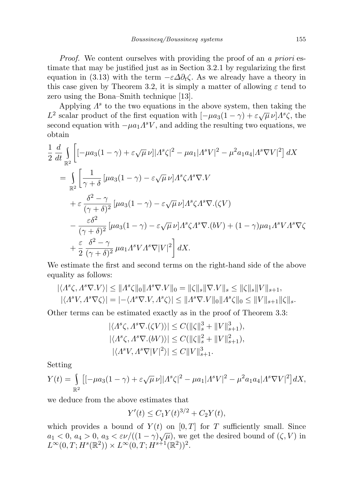Proof. We content ourselves with providing the proof of an a priori estimate that may be justified just as in Section 3.2.1 by regularizing the first equation in (3.13) with the term  $-\varepsilon \Delta \partial_t \zeta$ . As we already have a theory in this case given by Theorem 3.2, it is simply a matter of allowing  $\varepsilon$  tend to zero using the Bona–Smith technique [13].

Applying  $\Lambda^s$  to the two equations in the above system, then taking the  $L^2$  scalar product of the first equation with  $[-\mu a_3(1-\gamma) + \varepsilon \sqrt{\mu} \nu] \Lambda^s \zeta$ , the second equation with  $-\mu a_1 A^s V$ , and adding the resulting two equations, we obtain

$$
\frac{1}{2} \frac{d}{dt} \int_{\mathbb{R}^2} \left[ \left[ -\mu a_3 (1 - \gamma) + \varepsilon \sqrt{\mu} \nu \right] \left| \Lambda^s \zeta \right|^2 - \mu a_1 |\Lambda^s V|^2 - \mu^2 a_1 a_4 |\Lambda^s \nabla V|^2 \right] dX
$$
\n
$$
= \int_{\mathbb{R}^2} \left[ \frac{1}{\gamma + \delta} \left[ \mu a_3 (1 - \gamma) - \varepsilon \sqrt{\mu} \nu \right] \Lambda^s \zeta \Lambda^s \nabla V \right.
$$
\n
$$
+ \varepsilon \frac{\delta^2 - \gamma}{(\gamma + \delta)^2} \left[ \mu a_3 (1 - \gamma) - \varepsilon \sqrt{\mu} \nu \right] \Lambda^s \zeta \Lambda^s \nabla \cdot (\zeta V)
$$
\n
$$
- \frac{\varepsilon \delta^2}{(\gamma + \delta)^2} \left[ \mu a_3 (1 - \gamma) - \varepsilon \sqrt{\mu} \nu \right] \Lambda^s \zeta \Lambda^s \nabla \cdot (bV) + (1 - \gamma) \mu a_1 \Lambda^s V \Lambda^s \nabla \zeta
$$
\n
$$
+ \frac{\varepsilon}{2} \frac{\delta^2 - \gamma}{(\gamma + \delta)^2} \mu a_1 \Lambda^s V \Lambda^s \nabla |V|^2 \right] dX.
$$

We estimate the first and second terms on the right-hand side of the above equality as follows:

$$
\begin{aligned} |\langle A^s \zeta, A^s \nabla V \rangle| &\leq \|A^s \zeta\|_0 \|A^s \nabla V\|_0 = \|\zeta\|_s \|\nabla V\|_s \leq \|\zeta\|_s \|V\|_{s+1},\\ |\langle A^s V, A^s \nabla \zeta \rangle| &= |\!-\langle A^s \nabla V, A^s \zeta \rangle| \leq \|A^s \nabla V\|_0 \|A^s \zeta\|_0 \leq \|V\|_{s+1} \|\zeta\|_s. \end{aligned}
$$

Other terms can be estimated exactly as in the proof of Theorem 3.3:

$$
\begin{aligned} |\langle A^s \zeta, A^s \nabla.(\zeta V) \rangle| &\leq C(||\zeta||_s^3 + ||V||_{s+1}^3), \\ |\langle A^s \zeta, A^s \nabla.(bV) \rangle| &\leq C(||\zeta||_s^2 + ||V||_{s+1}^2), \\ |\langle A^s V, A^s \nabla |V|^2 \rangle| &\leq C||V||_{s+1}^3. \end{aligned}
$$

Setting

$$
Y(t) = \int_{\mathbb{R}^2} \left[ [-\mu a_3 (1 - \gamma) + \varepsilon \sqrt{\mu} \nu] |A^s \zeta|^2 - \mu a_1 |A^s V|^2 - \mu^2 a_1 a_4 |A^s \nabla V|^2 \right] dX,
$$

we deduce from the above estimates that

$$
Y'(t) \le C_1 Y(t)^{3/2} + C_2 Y(t),
$$

which provides a bound of  $Y(t)$  on  $[0, T]$  for T sufficiently small. Since which provides a bound of  $I(t)$  on  $[0,1]$  for  $I$  sumercharge small. Since  $a_1 < 0$ ,  $a_4 > 0$ ,  $a_3 < \varepsilon \nu/((1-\gamma)\sqrt{\mu})$ , we get the desired bound of  $(\zeta, V)$  in  $L^{\infty}(0,T; H^{s}(\mathbb{R}^{2})) \times L^{\infty}(0,T; H^{s+1}(\mathbb{R}^{2}))^{2}.$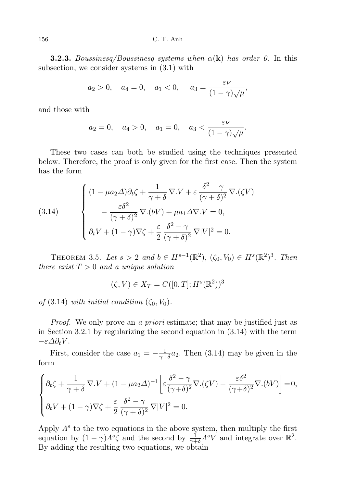156 C. T. Anh

**3.2.3.** Boussinesq/Boussinesq systems when  $\alpha(\mathbf{k})$  has order 0. In this subsection, we consider systems in (3.1) with

$$
a_2 > 0
$$
,  $a_4 = 0$ ,  $a_1 < 0$ ,  $a_3 = \frac{\varepsilon \nu}{(1 - \gamma)\sqrt{\mu}}$ ,

and those with

$$
a_2 = 0
$$
,  $a_4 > 0$ ,  $a_1 = 0$ ,  $a_3 < \frac{\varepsilon \nu}{(1 - \gamma)\sqrt{\mu}}$ .

These two cases can both be studied using the techniques presented below. Therefore, the proof is only given for the first case. Then the system has the form

(3.14) 
$$
\begin{cases} (1 - \mu a_2 \Delta) \partial_t \zeta + \frac{1}{\gamma + \delta} \nabla \cdot V + \varepsilon \frac{\delta^2 - \gamma}{(\gamma + \delta)^2} \nabla \cdot (\zeta V) \\ - \frac{\varepsilon \delta^2}{(\gamma + \delta)^2} \nabla \cdot (bV) + \mu a_1 \Delta \nabla \cdot V = 0, \\ \partial_t V + (1 - \gamma) \nabla \zeta + \frac{\varepsilon}{2} \frac{\delta^2 - \gamma}{(\gamma + \delta)^2} \nabla |V|^2 = 0. \end{cases}
$$

THEOREM 3.5. Let  $s > 2$  and  $b \in H^{s-1}(\mathbb{R}^2)$ ,  $(\zeta_0, V_0) \in H^s(\mathbb{R}^2)^3$ . Then there exist  $T > 0$  and a unique solution

$$
(\zeta, V) \in X_T = C([0, T]; H^s(\mathbb{R}^2))^3
$$

of  $(3.14)$  with initial condition  $(\zeta_0, V_0)$ .

*Proof.* We only prove an a *priori* estimate; that may be justified just as in Section 3.2.1 by regularizing the second equation in (3.14) with the term  $-\varepsilon \Delta \partial_t V$ .

First, consider the case  $a_1 = -\frac{1}{\gamma + 1}$  $\frac{1}{\gamma+\delta}a_2$ . Then (3.14) may be given in the form

$$
\begin{cases} \partial_t \zeta + \frac{1}{\gamma + \delta} \nabla \cdot V + (1 - \mu a_2 \Delta)^{-1} \left[ \varepsilon \frac{\delta^2 - \gamma}{(\gamma + \delta)^2} \nabla \cdot (\zeta V) - \frac{\varepsilon \delta^2}{(\gamma + \delta)^2} \nabla \cdot (bV) \right] = 0, \\ \partial_t V + (1 - \gamma) \nabla \zeta + \frac{\varepsilon}{2} \frac{\delta^2 - \gamma}{(\gamma + \delta)^2} \nabla |V|^2 = 0. \end{cases}
$$

Apply  $\Lambda^s$  to the two equations in the above system, then multiply the first equation by  $(1 - \gamma) \Lambda^s \zeta$  and the second by  $\frac{1}{\gamma + \delta} \Lambda^s V$  and integrate over  $\mathbb{R}^2$ . By adding the resulting two equations, we obtain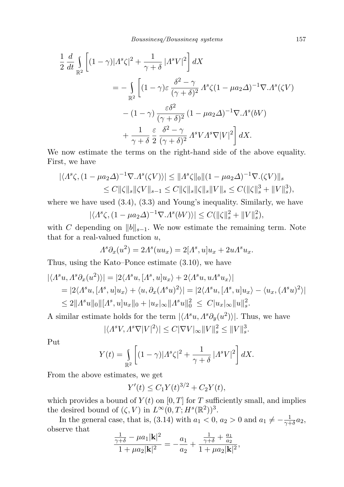$$
\frac{1}{2} \frac{d}{dt} \int_{\mathbb{R}^2} \left[ (1 - \gamma) |A^s \zeta|^2 + \frac{1}{\gamma + \delta} |A^s V|^2 \right] dX
$$
  
\n
$$
= - \int_{\mathbb{R}^2} \left[ (1 - \gamma) \varepsilon \frac{\delta^2 - \gamma}{(\gamma + \delta)^2} A^s \zeta (1 - \mu a_2 \Delta)^{-1} \nabla \cdot A^s (\zeta V) - (1 - \gamma) \frac{\varepsilon \delta^2}{(\gamma + \delta)^2} (1 - \mu a_2 \Delta)^{-1} \nabla \cdot A^s (bV) + \frac{1}{\gamma + \delta} \frac{\varepsilon}{2} \frac{\delta^2 - \gamma}{(\gamma + \delta)^2} A^s V A^s \nabla |V|^2 \right] dX.
$$

We now estimate the terms on the right-hand side of the above equality. First, we have

$$
|\langle \Lambda^s \zeta, (1 - \mu a_2 \Delta)^{-1} \nabla \cdot \Lambda^s(\zeta V) \rangle| \le ||\Lambda^s \zeta||_0 ||(1 - \mu a_2 \Delta)^{-1} \nabla \cdot (\zeta V) ||_s
$$
  
\n
$$
\le C ||\zeta||_s ||\zeta V||_{s-1} \le C ||\zeta||_s ||\zeta||_s ||V||_s \le C (||\zeta||_s^3 + ||V||_s^3),
$$

where we have used  $(3.4)$ ,  $(3.3)$  and Young's inequality. Similarly, we have

$$
|\langle A^s \zeta, (1 - \mu a_2 \Delta)^{-1} \nabla \cdot A^s (bV) \rangle| \le C(||\zeta||_s^2 + ||V||_s^2),
$$

with C depending on  $||b||_{s-1}$ . We now estimate the remaining term. Note that for a real-valued function  $u$ ,

$$
A^s \partial_x(u^2) = 2A^s(uu_x) = 2[A^s, u]u_x + 2uA^s u_x.
$$

Thus, using the Kato–Ponce estimate (3.10), we have

$$
\begin{aligned} |\langle A^s u, A^s \partial_x (u^2) \rangle| &= |2 \langle A^s u, [A^s, u] u_x \rangle + 2 \langle A^s u, u A^s u_x \rangle| \\ &= |2 \langle A^s u, [A^s, u] u_x \rangle + \langle u, \partial_x (A^s u)^2 \rangle| = |2 \langle A^s u, [A^s, u] u_x \rangle - \langle u_x, (A^s u)^2 \rangle| \\ &\le 2 \|A^s u\|_0 \| [A^s, u] u_x\|_0 + |u_x|_\infty \|A^s u\|_0^2 \le C |u_x|_\infty \|u\|_s^2. \end{aligned}
$$

A similar estimate holds for the term  $|\langle A^s u, A^s \partial_y(u^2) \rangle|$ . Thus, we have

$$
|\langle A^s V, A^s \nabla |V|^2 \rangle| \leq C |\nabla V|_{\infty} ||V||_s^2 \leq ||V||_s^3.
$$

Put

$$
Y(t) = \int_{\mathbb{R}^2} \left[ (1 - \gamma) |A^s \zeta|^2 + \frac{1}{\gamma + \delta} |A^s V|^2 \right] dX.
$$

From the above estimates, we get

$$
Y'(t) \le C_1 Y(t)^{3/2} + C_2 Y(t),
$$

which provides a bound of  $Y(t)$  on  $[0, T]$  for T sufficiently small, and implies the desired bound of  $(\zeta, V)$  in  $L^{\infty}(0,T; H^s(\mathbb{R}^2))^3$ .

In the general case, that is, (3.14) with  $a_1 < 0$ ,  $a_2 > 0$  and  $a_1 \neq -\frac{1}{\gamma + 1}$  $rac{1}{\gamma+\delta}a_2,$ observe that

$$
\frac{\frac{1}{\gamma+\delta}-\mu a_1 |\mathbf{k}|^2}{1+\mu a_2 |\mathbf{k}|^2}=-\frac{a_1}{a_2}+\frac{\frac{1}{\gamma+\delta}+\frac{a_1}{a_2}}{1+\mu a_2 |\mathbf{k}|^2},
$$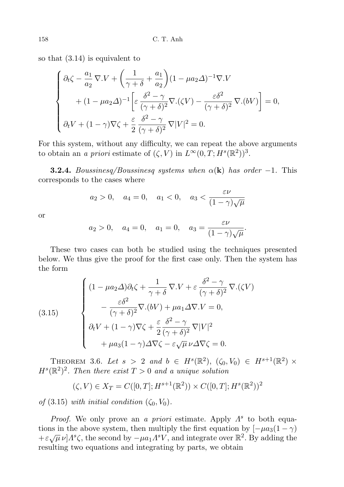so that (3.14) is equivalent to

$$
\begin{cases} \partial_t \zeta - \frac{a_1}{a_2} \nabla \cdot V + \left( \frac{1}{\gamma + \delta} + \frac{a_1}{a_2} \right) (1 - \mu a_2 \Delta)^{-1} \nabla \cdot V \\ \qquad + (1 - \mu a_2 \Delta)^{-1} \left[ \varepsilon \frac{\delta^2 - \gamma}{(\gamma + \delta)^2} \nabla \cdot (\zeta V) - \frac{\varepsilon \delta^2}{(\gamma + \delta)^2} \nabla \cdot (bV) \right] = 0, \\ \partial_t V + (1 - \gamma) \nabla \zeta + \frac{\varepsilon}{2} \frac{\delta^2 - \gamma}{(\gamma + \delta)^2} \nabla |V|^2 = 0. \end{cases}
$$

For this system, without any difficulty, we can repeat the above arguments to obtain an a priori estimate of  $(\zeta, V)$  in  $L^{\infty}(0,T; H^s(\mathbb{R}^2))^3$ .

**3.2.4.** Boussinesq/Boussinesq systems when  $\alpha(\mathbf{k})$  has order -1. This corresponds to the cases where

$$
a_2 > 0
$$
,  $a_4 = 0$ ,  $a_1 < 0$ ,  $a_3 < \frac{\varepsilon \nu}{(1 - \gamma)\sqrt{\mu}}$ 

or

$$
a_2 > 0
$$
,  $a_4 = 0$ ,  $a_1 = 0$ ,  $a_3 = \frac{\varepsilon \nu}{(1 - \gamma)\sqrt{\mu}}$ .

These two cases can both be studied using the techniques presented below. We thus give the proof for the first case only. Then the system has the form

(3.15)  

$$
\begin{cases}\n(1 - \mu a_2 \Delta) \partial_t \zeta + \frac{1}{\gamma + \delta} \nabla \cdot V + \varepsilon \frac{\delta^2 - \gamma}{(\gamma + \delta)^2} \nabla \cdot (\zeta V) \\
- \frac{\varepsilon \delta^2}{(\gamma + \delta)^2} \nabla \cdot (bV) + \mu a_1 \Delta \nabla \cdot V = 0, \\
\partial_t V + (1 - \gamma) \nabla \zeta + \frac{\varepsilon}{2} \frac{\delta^2 - \gamma}{(\gamma + \delta)^2} \nabla |V|^2 \\
+ \mu a_3 (1 - \gamma) \Delta \nabla \zeta - \varepsilon \sqrt{\mu} \nu \Delta \nabla \zeta = 0.\n\end{cases}
$$

THEOREM 3.6. Let  $s > 2$  and  $b \in H^s(\mathbb{R}^2)$ ,  $(\zeta_0, V_0) \in H^{s+1}(\mathbb{R}^2) \times$  $H^{s}(\mathbb{R}^{2})^{2}$ . Then there exist  $T > 0$  and a unique solution

$$
(\zeta, V) \in X_T = C([0, T]; H^{s+1}(\mathbb{R}^2)) \times C([0, T]; H^s(\mathbb{R}^2))^2
$$

of  $(3.15)$  with initial condition  $(\zeta_0, V_0)$ .

Proof. We only prove an a priori estimate. Apply  $\Lambda^s$  to both equations in the above system, then multiply the first equation by  $[-\mu a_3(1-\gamma)]$  $+\varepsilon\sqrt{\mu}\nu\rfloor\Lambda^{s}\zeta$ , the second by  $-\mu a_1\Lambda^{s}V$ , and integrate over  $\mathbb{R}^{2}$ . By adding the resulting two equations and integrating by parts, we obtain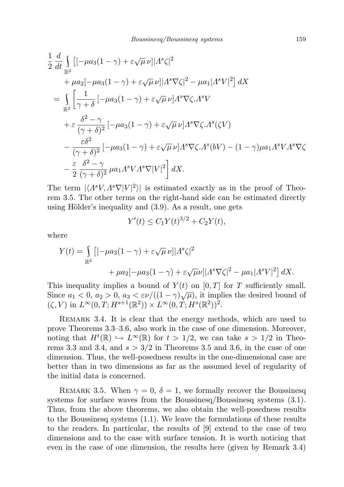$$
\frac{1}{2} \frac{d}{dt} \int_{\mathbb{R}^2} \left[ -\mu a_3 (1 - \gamma) + \varepsilon \sqrt{\mu} \nu \right] |A^s \zeta|^2 \n+ \mu a_2 \left[ -\mu a_3 (1 - \gamma) + \varepsilon \sqrt{\mu} \nu \right] |A^s \nabla \zeta|^2 - \mu a_1 |A^s V|^2 \right] dX \n= \int_{\mathbb{R}^2} \left[ \frac{1}{\gamma + \delta} \left[ -\mu a_3 (1 - \gamma) + \varepsilon \sqrt{\mu} \nu \right] A^s \nabla \zeta . A^s V \n+ \varepsilon \frac{\delta^2 - \gamma}{(\gamma + \delta)^2} \left[ -\mu a_3 (1 - \gamma) + \varepsilon \sqrt{\mu} \nu \right] A^s \nabla \zeta . A^s (\zeta V) \n- \frac{\varepsilon \delta^2}{(\gamma + \delta)^2} \left[ -\mu a_3 (1 - \gamma) + \varepsilon \sqrt{\mu} \nu \right] A^s \nabla \zeta . A^s (bV) - (1 - \gamma) \mu a_1 A^s V A^s \nabla \zeta \n- \frac{\varepsilon}{2} \frac{\delta^2 - \gamma}{(\gamma + \delta)^2} \mu a_1 A^s V A^s \nabla |V|^2 \right] dX.
$$

The term  $|\langle A^s V, A^s \nabla |V|^2 \rangle|$  is estimated exactly as in the proof of Theorem 3.5. The other terms on the right-hand side can be estimated directly using Hölder's inequality and  $(3.9)$ . As a result, one gets

$$
Y'(t) \le C_1 Y(t)^{3/2} + C_2 Y(t),
$$

where

$$
Y(t) = \int_{\mathbb{R}^2} \left[ -\mu a_3 (1 - \gamma) + \varepsilon \sqrt{\mu} \nu \right] \left| \Lambda^s \zeta \right|^2
$$
  
+ 
$$
\mu a_2 \left[ -\mu a_3 (1 - \gamma) + \varepsilon \sqrt{\mu} \nu \right] \left| \Lambda^s \nabla \zeta \right|^2 - \mu a_1 \left| \Lambda^s V \right|^2 \right] dX.
$$

This inequality implies a bound of  $Y(t)$  on [0, T] for T sufficiently small. Since  $a_1 < 0$ ,  $a_2 > 0$ ,  $a_3 < \varepsilon \nu/((1 - \gamma)\sqrt{\mu})$ , it implies the desired bound of  $(\zeta, V)$  in  $L^{\infty}(0,T; H^{s+1}(\mathbb{R}^2)) \times L^{\infty}(0,T; H^s(\mathbb{R}^2))^2$ .

REMARK 3.4. It is clear that the energy methods, which are used to prove Theorems 3.3–3.6, also work in the case of one dimension. Moreover, noting that  $H^t(\mathbb{R}) \hookrightarrow L^{\infty}(\mathbb{R})$  for  $t > 1/2$ , we can take  $s > 1/2$  in Theorems 3.3 and 3.4, and  $s > 3/2$  in Theorems 3.5 and 3.6, in the case of one dimension. Thus, the well-posedness results in the one-dimensional case are better than in two dimensions as far as the assumed level of regularity of the initial data is concerned.

REMARK 3.5. When  $\gamma = 0, \delta = 1$ , we formally recover the Boussinesq systems for surface waves from the Boussinesq/Boussinesq systems  $(3.1)$ . Thus, from the above theorems, we also obtain the well-posedness results to the Boussinesq systems (1.1). We leave the formulations of these results to the readers. In particular, the results of [9] extend to the case of two dimensions and to the case with surface tension. It is worth noticing that even in the case of one dimension, the results here (given by Remark 3.4)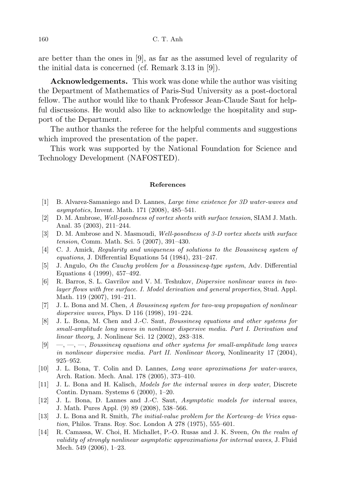are better than the ones in [9], as far as the assumed level of regularity of the initial data is concerned (cf. Remark 3.13 in [9]).

Acknowledgements. This work was done while the author was visiting the Department of Mathematics of Paris-Sud University as a post-doctoral fellow. The author would like to thank Professor Jean-Claude Saut for helpful discussions. He would also like to acknowledge the hospitality and support of the Department.

The author thanks the referee for the helpful comments and suggestions which improved the presentation of the paper.

This work was supported by the National Foundation for Science and Technology Development (NAFOSTED).

## References

- [1] B. Alvarez-Samaniego and D. Lannes, Large time existence for 3D water-waves and asymptotics, Invent. Math. 171 (2008), 485–541.
- [2] D. M. Ambrose, Well-posedness of vortex sheets with surface tension, SIAM J. Math. Anal. 35 (2003), 211–244.
- [3] D. M. Ambrose and N. Masmoudi, Well-posedness of 3-D vortex sheets with surface tension, Comm. Math. Sci. 5 (2007), 391–430.
- [4] C. J. Amick, Regularity and uniqueness of solutions to the Boussinesq system of equations, J. Differential Equations 54 (1984), 231–247.
- [5] J. Angulo, On the Cauchy problem for a Boussinesq-type system, Adv. Differential Equations 4 (1999), 457–492.
- [6] R. Barros, S. L. Gavrilov and V. M. Teshukov, Dispersive nonlinear waves in twolayer flows with free surface. I. Model derivation and general properties, Stud. Appl. Math. 119 (2007), 191–211.
- [7] J. L. Bona and M. Chen, A Boussinesq system for two-way propagation of nonlinear dispersive waves, Phys. D 116 (1998), 191–224.
- [8] J. L. Bona, M. Chen and J.-C. Saut, Boussinesq equations and other systems for small-amplitude long waves in nonlinear dispersive media. Part I. Derivation and linear theory, J. Nonlinear Sci. 12 (2002), 283–318.
- $[9] \quad , \quad , \quad , \quad$  Boussinesq equations and other systems for small-amplitude long waves in nonlinear dispersive media. Part II. Nonlinear theory, Nonlinearity 17 (2004), 925–952.
- [10] J. L. Bona, T. Colin and D. Lannes, Long wave aproximations for water-waves, Arch. Ration. Mech. Anal. 178 (2005), 373–410.
- [11] J. L. Bona and H. Kalisch, Models for the internal waves in deep water, Discrete Contin. Dynam. Systems 6 (2000), 1–20.
- [12] J. L. Bona, D. Lannes and J.-C. Saut, Asymptotic models for internal waves, J. Math. Pures Appl. (9) 89 (2008), 538–566.
- [13] J. L. Bona and R. Smith, *The initial-value problem for the Korteweg–de Vries equa*tion, Philos. Trans. Roy. Soc. London A 278 (1975), 555–601.
- [14] R. Camassa, W. Choi, H. Michallet, P.-O. Rusas and J. K. Sveen, On the realm of validity of strongly nonlinear asymptotic approximations for internal waves, J. Fluid Mech. 549 (2006), 1–23.